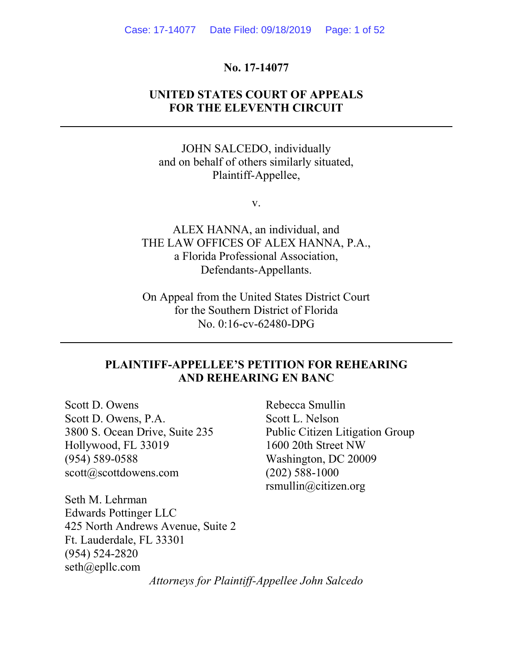### No. 17-14077

### UNITED STATES COURT OF APPEALS FOR THE ELEVENTH CIRCUIT

JOHN SALCEDO, individually and on behalf of others similarly situated, Plaintiff-Appellee,

v.

ALEX HANNA, an individual, and THE LAW OFFICES OF ALEX HANNA, P.A., a Florida Professional Association, Defendants-Appellants.

On Appeal from the United States District Court for the Southern District of Florida No. 0:16-cv-62480-DPG

### PLAINTIFF-APPELLEE'S PETITION FOR REHEARING AND REHEARING EN BANC

Scott D. Owens Scott D. Owens, P.A. 3800 S. Ocean Drive, Suite 235 Hollywood, FL 33019 (954) 589-0588 scott@scottdowens.com

ı

l

Rebecca Smullin Scott L. Nelson Public Citizen Litigation Group 1600 20th Street NW Washington, DC 20009 (202) 588-1000 rsmullin@citizen.org

Seth M. Lehrman Edwards Pottinger LLC 425 North Andrews Avenue, Suite 2 Ft. Lauderdale, FL 33301 (954) 524-2820 seth@epllc.com

Attorneys for Plaintiff-Appellee John Salcedo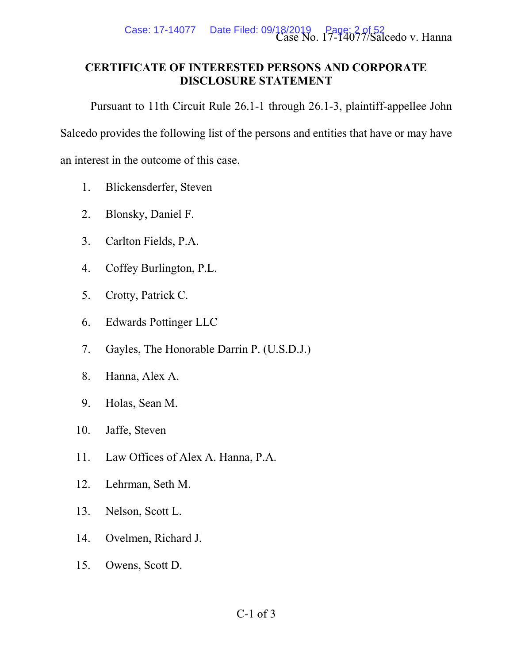

### CERTIFICATE OF INTERESTED PERSONS AND CORPORATE DISCLOSURE STATEMENT

Pursuant to 11th Circuit Rule 26.1-1 through 26.1-3, plaintiff-appellee John

Salcedo provides the following list of the persons and entities that have or may have

an interest in the outcome of this case.

- 1. Blickensderfer, Steven
- 2. Blonsky, Daniel F.
- 3. Carlton Fields, P.A.
- 4. Coffey Burlington, P.L.
- 5. Crotty, Patrick C.
- 6. Edwards Pottinger LLC
- 7. Gayles, The Honorable Darrin P. (U.S.D.J.)
- 8. Hanna, Alex A.
- 9. Holas, Sean M.
- 10. Jaffe, Steven
- 11. Law Offices of Alex A. Hanna, P.A.
- 12. Lehrman, Seth M.
- 13. Nelson, Scott L.
- 14. Ovelmen, Richard J.
- 15. Owens, Scott D.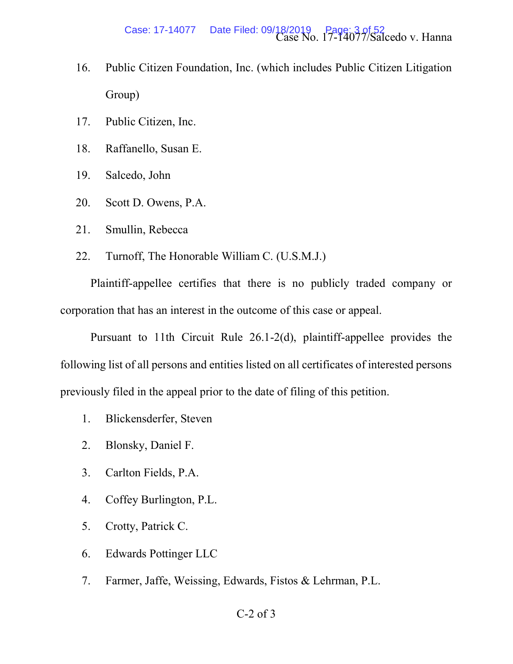- 16. Public Citizen Foundation, Inc. (which includes Public Citizen Litigation Group)
- 17. Public Citizen, Inc.
- 18. Raffanello, Susan E.
- 19. Salcedo, John
- 20. Scott D. Owens, P.A.
- 21. Smullin, Rebecca
- 22. Turnoff, The Honorable William C. (U.S.M.J.)

Plaintiff-appellee certifies that there is no publicly traded company or corporation that has an interest in the outcome of this case or appeal.

Pursuant to 11th Circuit Rule 26.1-2(d), plaintiff-appellee provides the following list of all persons and entities listed on all certificates of interested persons previously filed in the appeal prior to the date of filing of this petition.

- 1. Blickensderfer, Steven
- 2. Blonsky, Daniel F.
- 3. Carlton Fields, P.A.
- 4. Coffey Burlington, P.L.
- 5. Crotty, Patrick C.
- 6. Edwards Pottinger LLC
- 7. Farmer, Jaffe, Weissing, Edwards, Fistos & Lehrman, P.L.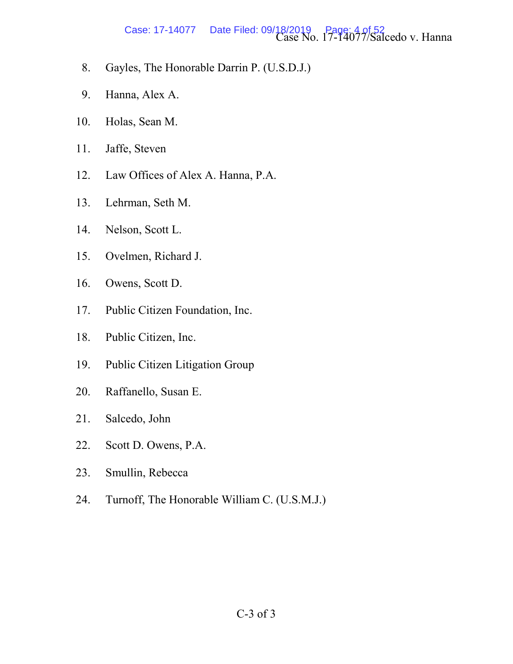# Case: 17-14077 Date Filed: 09/18/2019 Page: 4 of 52<br>Case No. 17-14077/Salcedo v. Hanna

- 8. Gayles, The Honorable Darrin P. (U.S.D.J.)
- 9. Hanna, Alex A.
- 10. Holas, Sean M.
- 11. Jaffe, Steven
- 12. Law Offices of Alex A. Hanna, P.A.
- 13. Lehrman, Seth M.
- 14. Nelson, Scott L.
- 15. Ovelmen, Richard J.
- 16. Owens, Scott D.
- 17. Public Citizen Foundation, Inc.
- 18. Public Citizen, Inc.
- 19. Public Citizen Litigation Group
- 20. Raffanello, Susan E.
- 21. Salcedo, John
- 22. Scott D. Owens, P.A.
- 23. Smullin, Rebecca
- 24. Turnoff, The Honorable William C. (U.S.M.J.)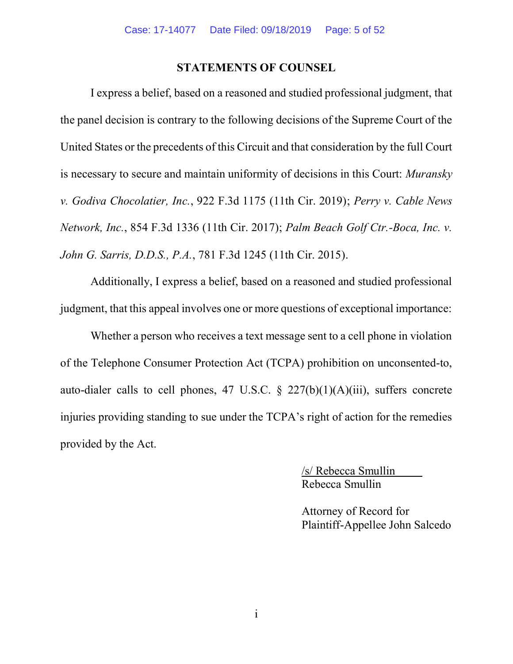#### STATEMENTS OF COUNSEL

I express a belief, based on a reasoned and studied professional judgment, that the panel decision is contrary to the following decisions of the Supreme Court of the United States or the precedents of this Circuit and that consideration by the full Court is necessary to secure and maintain uniformity of decisions in this Court: Muransky v. Godiva Chocolatier, Inc., 922 F.3d 1175 (11th Cir. 2019); Perry v. Cable News Network, Inc., 854 F.3d 1336 (11th Cir. 2017); Palm Beach Golf Ctr.-Boca, Inc. v. John G. Sarris, D.D.S., P.A., 781 F.3d 1245 (11th Cir. 2015).

Additionally, I express a belief, based on a reasoned and studied professional judgment, that this appeal involves one or more questions of exceptional importance:

Whether a person who receives a text message sent to a cell phone in violation of the Telephone Consumer Protection Act (TCPA) prohibition on unconsented-to, auto-dialer calls to cell phones, 47 U.S.C.  $\S$  227(b)(1)(A)(iii), suffers concrete injuries providing standing to sue under the TCPA's right of action for the remedies provided by the Act.

> /s/ Rebecca Smullin Rebecca Smullin

Attorney of Record for Plaintiff-Appellee John Salcedo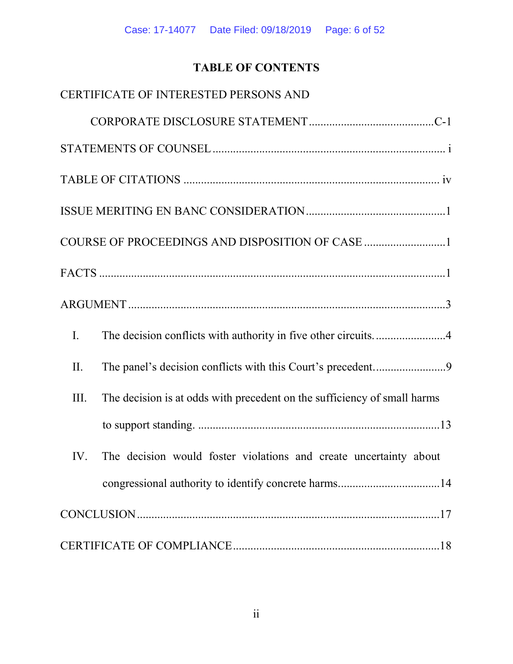# TABLE OF CONTENTS

| CERTIFICATE OF INTERESTED PERSONS AND                                            |
|----------------------------------------------------------------------------------|
|                                                                                  |
|                                                                                  |
|                                                                                  |
|                                                                                  |
| COURSE OF PROCEEDINGS AND DISPOSITION OF CASE 1                                  |
|                                                                                  |
|                                                                                  |
| $\mathbf{I}$ .                                                                   |
| II.                                                                              |
| The decision is at odds with precedent on the sufficiency of small harms<br>III. |
|                                                                                  |
| The decision would foster violations and create uncertainty about<br>IV.         |
|                                                                                  |
|                                                                                  |
|                                                                                  |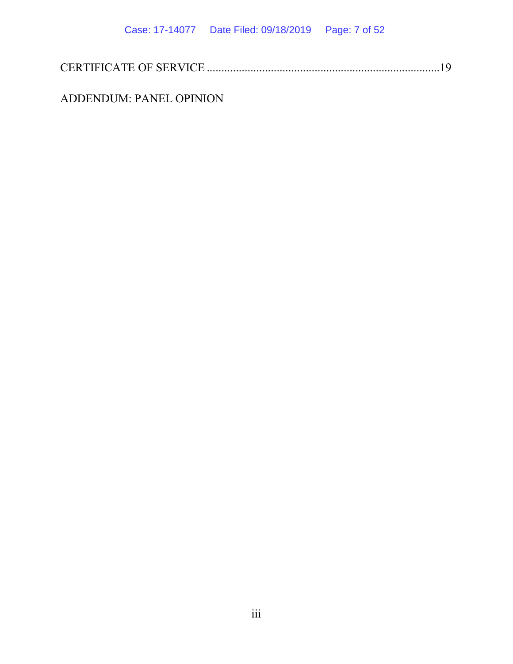|--|--|

ADDENDUM: PANEL OPINION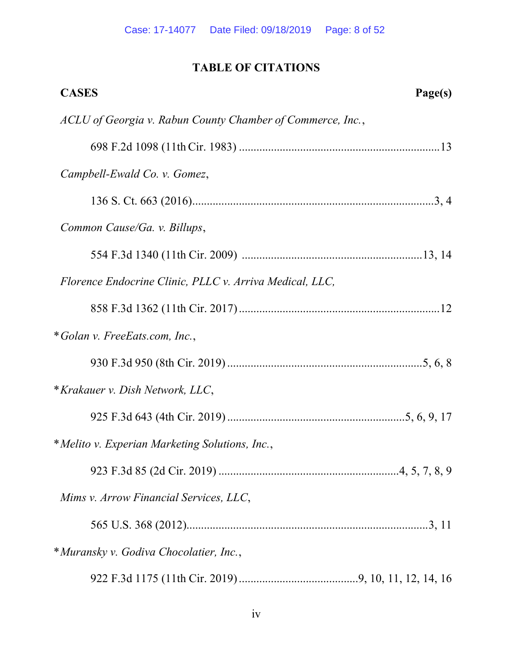# TABLE OF CITATIONS

| <b>CASES</b><br>Page(s)                                    |
|------------------------------------------------------------|
| ACLU of Georgia v. Rabun County Chamber of Commerce, Inc., |
|                                                            |
| Campbell-Ewald Co. v. Gomez,                               |
|                                                            |
| Common Cause/Ga. v. Billups,                               |
|                                                            |
| Florence Endocrine Clinic, PLLC v. Arriva Medical, LLC,    |
|                                                            |
| *Golan v. FreeEats.com, Inc.,                              |
|                                                            |
| * Krakauer v. Dish Network, LLC,                           |
|                                                            |
| *Melito v. Experian Marketing Solutions, Inc.,             |
|                                                            |
| Mims v. Arrow Financial Services, LLC,                     |
|                                                            |
| * Muransky v. Godiva Chocolatier, Inc.,                    |
|                                                            |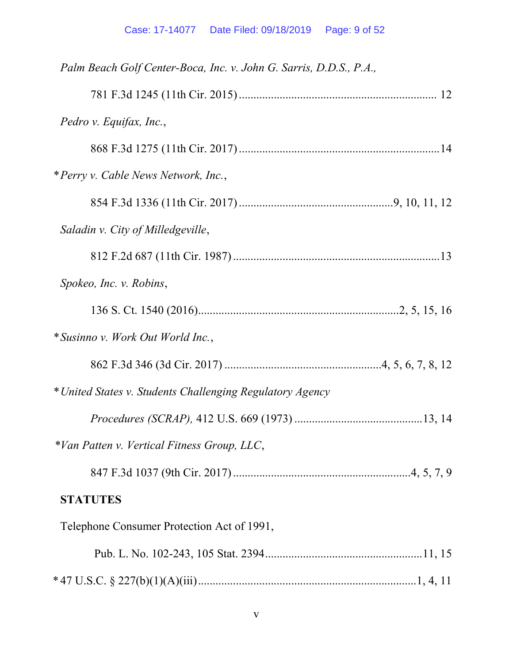| Palm Beach Golf Center-Boca, Inc. v. John G. Sarris, D.D.S., P.A., |
|--------------------------------------------------------------------|
|                                                                    |
| Pedro v. Equifax, Inc.,                                            |
|                                                                    |
| *Perry v. Cable News Network, Inc.,                                |
|                                                                    |
| Saladin v. City of Milledgeville,                                  |
|                                                                    |
| Spokeo, Inc. v. Robins,                                            |
|                                                                    |
| * Susinno v. Work Out World Inc.,                                  |
|                                                                    |
| * United States v. Students Challenging Regulatory Agency          |
|                                                                    |
| *Van Patten v. Vertical Fitness Group, LLC,                        |
|                                                                    |
| <b>STATUTES</b>                                                    |
| Telephone Consumer Protection Act of 1991,                         |
|                                                                    |
|                                                                    |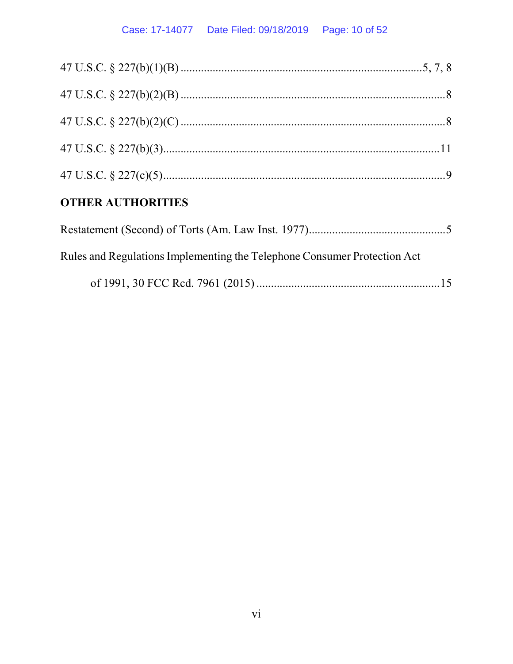## Case: 17-14077 Date Filed: 09/18/2019 Page: 10 of 52

| <b>OTHER AUTHORITIES</b> |  |
|--------------------------|--|
|                          |  |
|                          |  |
|                          |  |
|                          |  |
|                          |  |

| Rules and Regulations Implementing the Telephone Consumer Protection Act |  |
|--------------------------------------------------------------------------|--|
|                                                                          |  |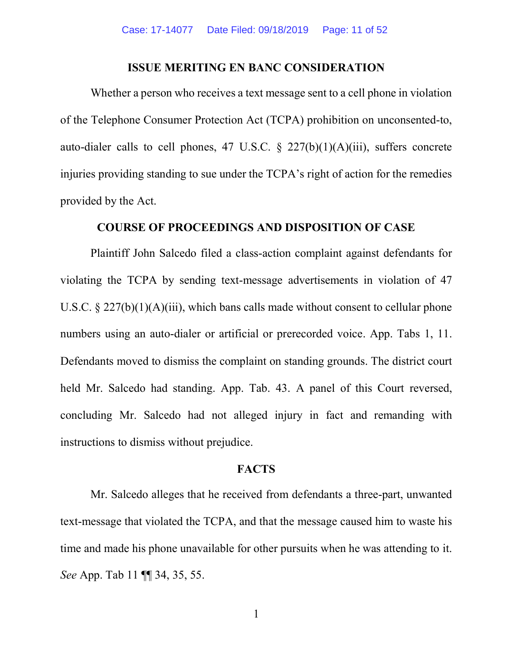### ISSUE MERITING EN BANC CONSIDERATION

Whether a person who receives a text message sent to a cell phone in violation of the Telephone Consumer Protection Act (TCPA) prohibition on unconsented-to, auto-dialer calls to cell phones, 47 U.S.C.  $\S$  227(b)(1)(A)(iii), suffers concrete injuries providing standing to sue under the TCPA's right of action for the remedies provided by the Act.

### COURSE OF PROCEEDINGS AND DISPOSITION OF CASE

Plaintiff John Salcedo filed a class-action complaint against defendants for violating the TCPA by sending text-message advertisements in violation of 47 U.S.C.  $\S 227(b)(1)(A)(iii)$ , which bans calls made without consent to cellular phone numbers using an auto-dialer or artificial or prerecorded voice. App. Tabs 1, 11. Defendants moved to dismiss the complaint on standing grounds. The district court held Mr. Salcedo had standing. App. Tab. 43. A panel of this Court reversed, concluding Mr. Salcedo had not alleged injury in fact and remanding with instructions to dismiss without prejudice.

#### **FACTS**

Mr. Salcedo alleges that he received from defendants a three-part, unwanted text-message that violated the TCPA, and that the message caused him to waste his time and made his phone unavailable for other pursuits when he was attending to it. See App. Tab 11 ¶ 34, 35, 55.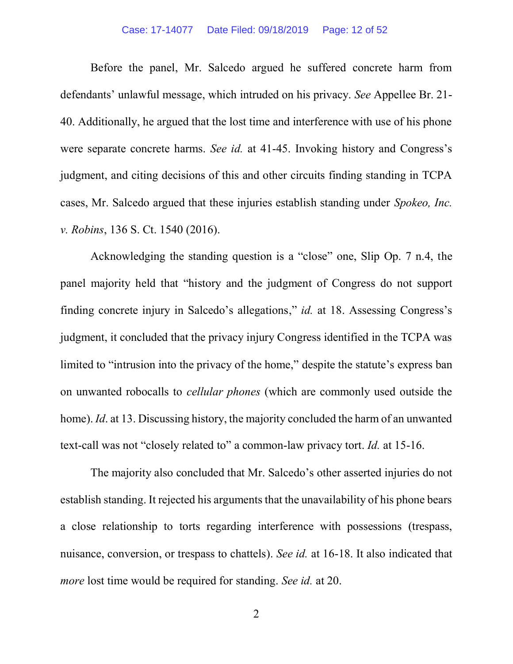Before the panel, Mr. Salcedo argued he suffered concrete harm from defendants' unlawful message, which intruded on his privacy. See Appellee Br. 21-40. Additionally, he argued that the lost time and interference with use of his phone were separate concrete harms. See id. at 41-45. Invoking history and Congress's judgment, and citing decisions of this and other circuits finding standing in TCPA cases, Mr. Salcedo argued that these injuries establish standing under Spokeo, Inc. v. Robins, 136 S. Ct. 1540 (2016).

Acknowledging the standing question is a "close" one, Slip Op.  $7$  n.4, the panel majority held that "history and the judgment of Congress do not support finding concrete injury in Salcedo's allegations," id. at 18. Assessing Congress's judgment, it concluded that the privacy injury Congress identified in the TCPA was limited to "intrusion into the privacy of the home," despite the statute's express ban on unwanted robocalls to cellular phones (which are commonly used outside the home). *Id.* at 13. Discussing history, the majority concluded the harm of an unwanted text-call was not "closely related to" a common-law privacy tort.  $Id$ . at 15-16.

The majority also concluded that Mr. Salcedo's other asserted injuries do not establish standing. It rejected his arguments that the unavailability of his phone bears a close relationship to torts regarding interference with possessions (trespass, nuisance, conversion, or trespass to chattels). See id. at 16-18. It also indicated that more lost time would be required for standing. See id. at 20.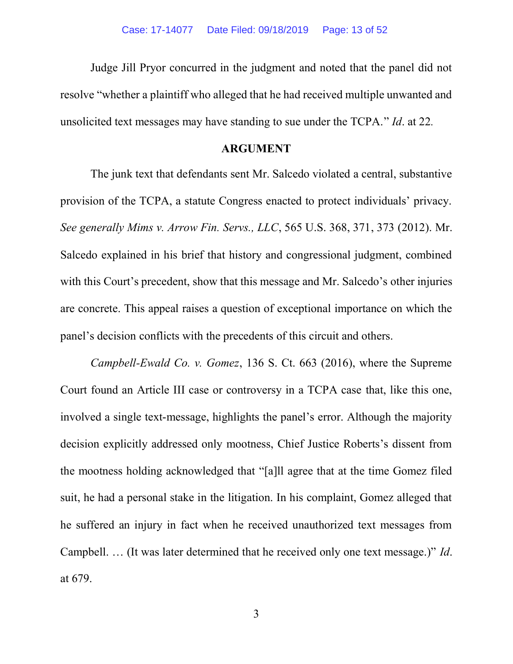Judge Jill Pryor concurred in the judgment and noted that the panel did not resolve "whether a plaintiff who alleged that he had received multiple unwanted and unsolicited text messages may have standing to sue under the  $TCPA."$  *Id.* at 22.

#### ARGUMENT

The junk text that defendants sent Mr. Salcedo violated a central, substantive provision of the TCPA, a statute Congress enacted to protect individuals' privacy. See generally Mims v. Arrow Fin. Servs., LLC, 565 U.S. 368, 371, 373 (2012). Mr. Salcedo explained in his brief that history and congressional judgment, combined with this Court's precedent, show that this message and Mr. Salcedo's other injuries are concrete. This appeal raises a question of exceptional importance on which the panel's decision conflicts with the precedents of this circuit and others.

Campbell-Ewald Co. v. Gomez, 136 S. Ct. 663 (2016), where the Supreme Court found an Article III case or controversy in a TCPA case that, like this one, involved a single text-message, highlights the panel's error. Although the majority decision explicitly addressed only mootness, Chief Justice Roberts's dissent from the mootness holding acknowledged that "[a]ll agree that at the time Gomez filed suit, he had a personal stake in the litigation. In his complaint, Gomez alleged that he suffered an injury in fact when he received unauthorized text messages from Campbell. ... (It was later determined that he received only one text message.)"  $Id$ . at 679.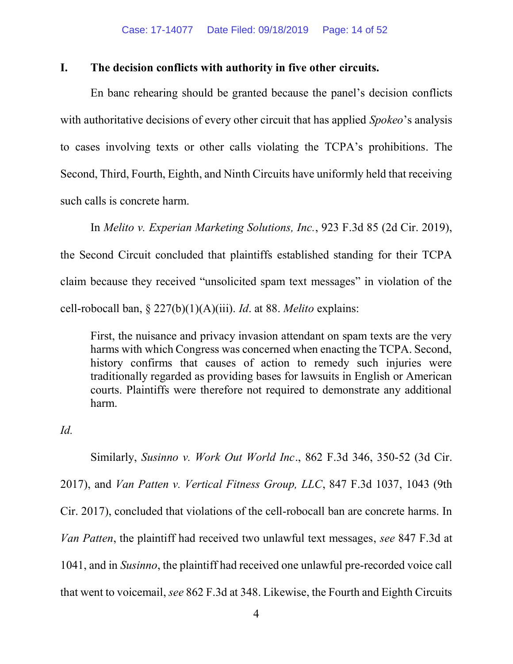### I. The decision conflicts with authority in five other circuits.

En banc rehearing should be granted because the panel's decision conflicts with authoritative decisions of every other circuit that has applied *Spokeo*'s analysis to cases involving texts or other calls violating the TCPA's prohibitions. The Second, Third, Fourth, Eighth, and Ninth Circuits have uniformly held that receiving such calls is concrete harm.

In Melito v. Experian Marketing Solutions, Inc., 923 F.3d 85 (2d Cir. 2019), the Second Circuit concluded that plaintiffs established standing for their TCPA claim because they received "unsolicited spam text messages" in violation of the cell-robocall ban,  $\S 227(b)(1)(A)(iii)$ . *Id.* at 88. *Melito* explains:

First, the nuisance and privacy invasion attendant on spam texts are the very harms with which Congress was concerned when enacting the TCPA. Second, history confirms that causes of action to remedy such injuries were traditionally regarded as providing bases for lawsuits in English or American courts. Plaintiffs were therefore not required to demonstrate any additional harm.

Id.

Similarly, Susinno v. Work Out World Inc., 862 F.3d 346, 350-52 (3d Cir. 2017), and Van Patten v. Vertical Fitness Group, LLC, 847 F.3d 1037, 1043 (9th Cir. 2017), concluded that violations of the cell-robocall ban are concrete harms. In Van Patten, the plaintiff had received two unlawful text messages, see 847 F.3d at 1041, and in Susinno, the plaintiff had received one unlawful pre-recorded voice call that went to voicemail, see 862 F.3d at 348. Likewise, the Fourth and Eighth Circuits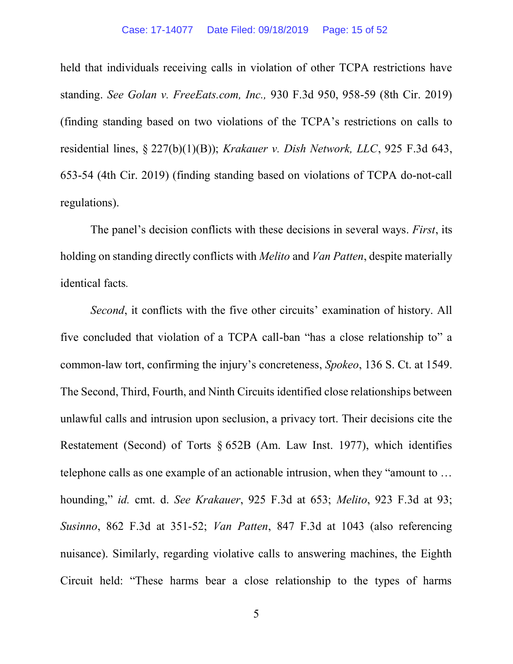held that individuals receiving calls in violation of other TCPA restrictions have standing. See Golan v. FreeEats.com, Inc., 930 F.3d 950, 958-59 (8th Cir. 2019) (finding standing based on two violations of the TCPA's restrictions on calls to residential lines, § 227(b)(1)(B)); Krakauer v. Dish Network, LLC, 925 F.3d 643, 653-54 (4th Cir. 2019) (finding standing based on violations of TCPA do-not-call regulations).

The panel's decision conflicts with these decisions in several ways. First, its holding on standing directly conflicts with *Melito* and *Van Patten*, despite materially identical facts.

Second, it conflicts with the five other circuits' examination of history. All five concluded that violation of a TCPA call-ban "has a close relationship to" a common-law tort, confirming the injury's concreteness, *Spokeo*, 136 S. Ct. at 1549. The Second, Third, Fourth, and Ninth Circuits identified close relationships between unlawful calls and intrusion upon seclusion, a privacy tort. Their decisions cite the Restatement (Second) of Torts § 652B (Am. Law Inst. 1977), which identifies telephone calls as one example of an actionable intrusion, when they "amount to ... hounding," id. cmt. d. See Krakauer, 925 F.3d at 653; Melito, 923 F.3d at 93; Susinno, 862 F.3d at 351-52; Van Patten, 847 F.3d at 1043 (also referencing nuisance). Similarly, regarding violative calls to answering machines, the Eighth Circuit held: "These harms bear a close relationship to the types of harms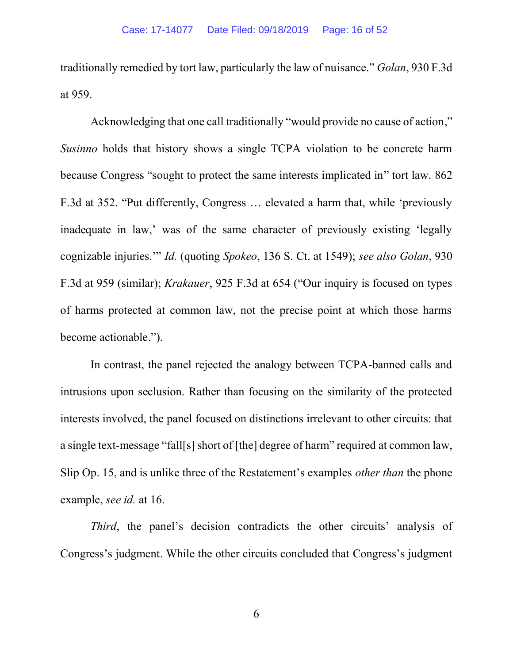traditionally remedied by tort law, particularly the law of nuisance." *Golan*, 930 F.3d at 959.

Acknowledging that one call traditionally "would provide no cause of action," Susinno holds that history shows a single TCPA violation to be concrete harm because Congress "sought to protect the same interests implicated in" tort law. 862 F.3d at 352. "Put differently, Congress ... elevated a harm that, while 'previously inadequate in law,' was of the same character of previously existing 'legally cognizable injuries." *Id.* (quoting *Spokeo*, 136 S. Ct. at 1549); see also Golan, 930 F.3d at 959 (similar); *Krakauer*, 925 F.3d at 654 ("Our inquiry is focused on types of harms protected at common law, not the precise point at which those harms become actionable.").

In contrast, the panel rejected the analogy between TCPA-banned calls and intrusions upon seclusion. Rather than focusing on the similarity of the protected interests involved, the panel focused on distinctions irrelevant to other circuits: that a single text-message "fall[s] short of [the] degree of harm" required at common law, Slip Op. 15, and is unlike three of the Restatement's examples *other than* the phone example, see id. at 16.

Third, the panel's decision contradicts the other circuits' analysis of Congress's judgment. While the other circuits concluded that Congress's judgment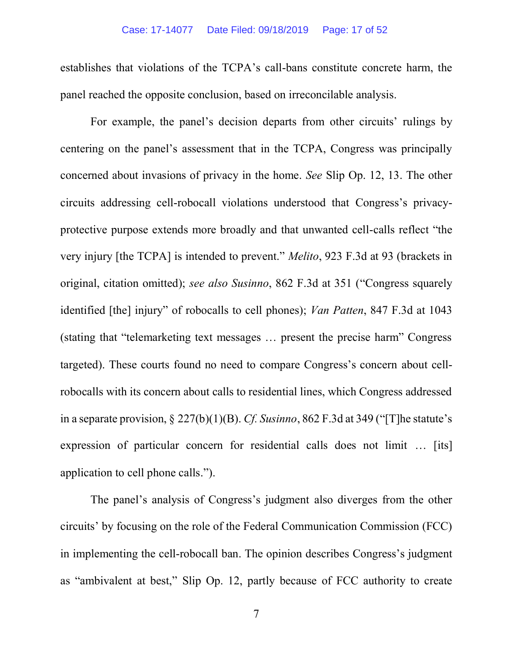establishes that violations of the TCPA's call-bans constitute concrete harm, the panel reached the opposite conclusion, based on irreconcilable analysis.

For example, the panel's decision departs from other circuits' rulings by centering on the panel's assessment that in the TCPA, Congress was principally concerned about invasions of privacy in the home. See Slip Op. 12, 13. The other circuits addressing cell-robocall violations understood that Congress's privacyprotective purpose extends more broadly and that unwanted cell very injury [the TCPA] is intended to prevent." *Melito*, 923 F.3d at 93 (brackets in original, citation omitted); see also Susinno, 862 F.3d at 351 ("Congress squarely identified [the] injury" of robocalls to cell phones); Van Patten, 847 F.3d at 1043 (stating that "telemarketing text messages ... present the precise harm" Congress targeted). These courts found no need to compare Congress's concern about cellrobocalls with its concern about calls to residential lines, which Congress addressed in a separate provision,  $\S 227(b)(1)(B)$ . Cf. Susinno, 862 F.3d at 349 ("The statute's expression of particular concern for residential calls does not limit  $\ldots$  [its] application to cell phone calls.").

The panel's analysis of Congress's judgment also diverges from the other circuits by focusing on the role of the Federal Communication Commission (FCC) in implementing the cell-robocall ban. The opinion describes Congress's judgment as "ambivalent at best," Slip Op. 12, partly because of FCC authority to create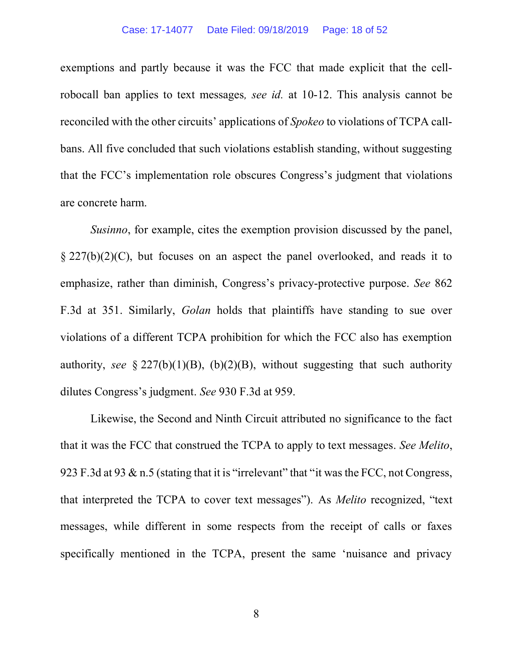exemptions and partly because it was the FCC that made explicit that the cellrobocall ban applies to text messages, see id. at 10-12. This analysis cannot be reconciled with the other circuits' applications of *Spokeo* to violations of TCPA callbans. All five concluded that such violations establish standing, without suggesting that the FCC's implementation role obscures Congress's judgment that violations are concrete harm.

Susinno, for example, cites the exemption provision discussed by the panel, § 227(b)(2)(C), but focuses on an aspect the panel overlooked, and reads it to emphasize, rather than diminish, Congress's privacy-protective purpose. See 862 F.3d at 351. Similarly, Golan holds that plaintiffs have standing to sue over violations of a different TCPA prohibition for which the FCC also has exemption authority, see  $\S 227(b)(1)(B)$ ,  $(b)(2)(B)$ , without suggesting that such authority dilutes Congress's judgment. See 930 F.3d at 959.

Likewise, the Second and Ninth Circuit attributed no significance to the fact that it was the FCC that construed the TCPA to apply to text messages. See Melito, 923 F.3d at 93 & n.5 (stating that it is "irrelevant" that "it was the FCC, not Congress, that interpreted the TCPA to cover text messages"). As *Melito* recognized, "text messages, while different in some respects from the receipt of calls or faxes specifically mentioned in the TCPA, present the same 'nuisance and privacy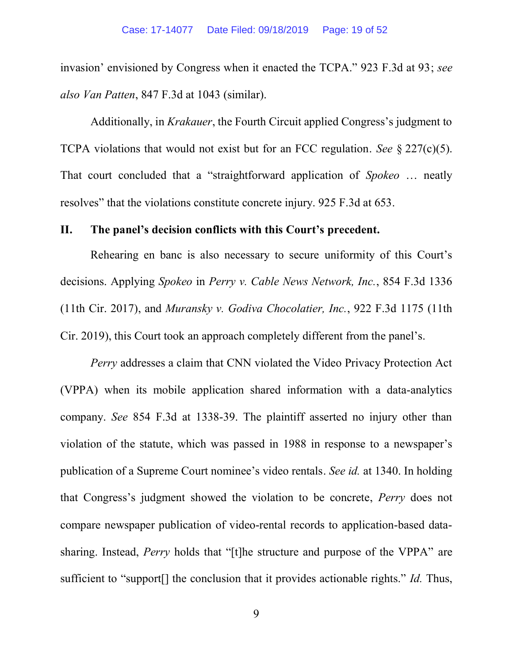invasion' envisioned by Congress when it enacted the TCPA." 923 F.3d at 93; see also Van Patten, 847 F.3d at 1043 (similar).

Additionally, in *Krakauer*, the Fourth Circuit applied Congress's judgment to TCPA violations that would not exist but for an FCC regulation. See  $\S 227(c)(5)$ . That court concluded that a "straightforward application of *Spokeo* ... neatly resolves" that the violations constitute concrete injury. 925 F.3d at 653.

#### II. The panel's decision conflicts with this Court's precedent.

Rehearing en banc is also necessary to secure uniformity of this Court's decisions. Applying Spokeo in Perry v. Cable News Network, Inc., 854 F.3d 1336 (11th Cir. 2017), and Muransky v. Godiva Chocolatier, Inc., 922 F.3d 1175 (11th Cir. 2019), this Court took an approach completely different from the panel's.

Perry addresses a claim that CNN violated the Video Privacy Protection Act (VPPA) when its mobile application shared information with a data-analytics company. See 854 F.3d at 1338-39. The plaintiff asserted no injury other than violation of the statute, which was passed in 1988 in response to publication of a Supreme Court nominee's video rentals. See id. at 1340. In holding that Congress's judgment showed the violation to be concrete, *Perry* does not compare newspaper publication of video-rental records to application-based datasharing. Instead, *Perry* holds that "[t] he structure and purpose of the VPPA" are sufficient to "support[] the conclusion that it provides actionable rights." *Id.* Thus,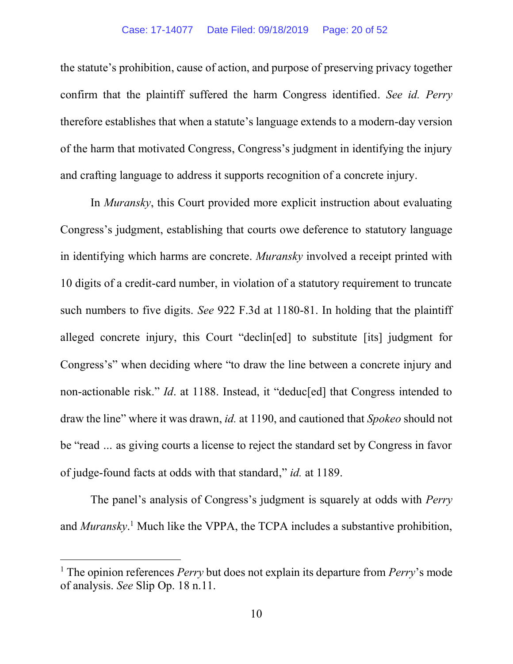the statute's prohibition, cause of action, and purpose of preserving privacy together confirm that the plaintiff suffered the harm Congress identified. See id. Perry therefore establishes that when a statute's language extends to a modern-day version of the harm that motivated Congress, Congress's judgment in identifying the injury and crafting language to address it supports recognition of a concrete injury.

In *Muransky*, this Court provided more explicit instruction about evaluating Congress's judgment, establishing that courts owe deference to statutory language in identifying which harms are concrete. Muransky involved a receipt printed with 10 digits of a credit-card number, in violation of a statutory requirement to truncate such numbers to five digits. See 922 F.3d at 1180-81. In holding that the plaintiff alleged concrete injury, this Court "declin[ed] to substitute [its] judgment for Congress's" when deciding where "to draw the line between a concrete injury and non-actionable risk." *Id.* at 1188. Instead, it "deduc[ed] that Congress intended to draw the line" where it was drawn, *id.* at 1190, and cautioned that *Spokeo* should not be "read ... as giving courts a license to reject the standard set by Congress in favor of judge-found facts at odds with that standard," *id.* at 1189.

The panel's analysis of Congress's judgment is squarely at odds with *Perry* and *Muransky*.<sup>1</sup> Much like the VPPA, the TCPA includes a substantive prohibition,

 $\overline{a}$ 

<sup>&</sup>lt;sup>1</sup> The opinion references *Perry* but does not explain its departure from *Perry*'s mode of analysis. See Slip Op. 18 n.11.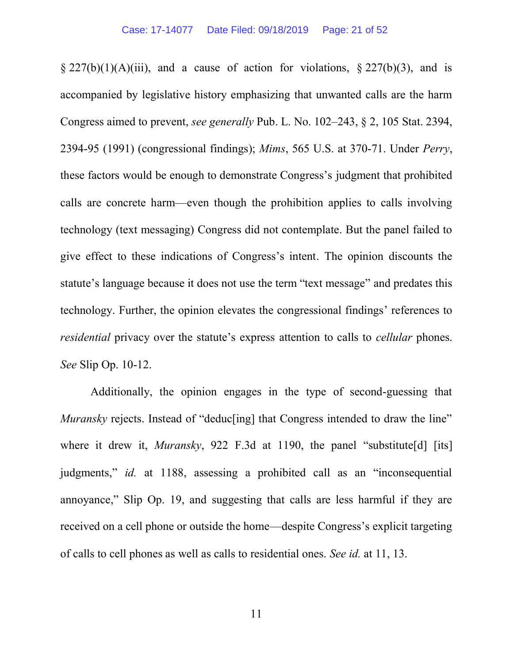$\S 227(b)(1)(A)(iii)$ , and a cause of action for violations,  $\S 227(b)(3)$ , and is accompanied by legislative history emphasizing that unwanted calls are the harm Congress aimed to prevent, see generally Pub. L. No.  $102-243$ ,  $\S 2$ ,  $105$  Stat. 2394, 2394-95 (1991) (congressional findings); Mims, 565 U.S. at 370-71. Under Perry, these factors would be enough to demonstrate Congress's judgment that prohibited calls are concrete harm—even though the prohibition applies to calls involving technology (text messaging) Congress did not contemplate. But the panel failed to give effect to these indications of Congress's intent. The opinion discounts the statute's language because it does not use the term "text message" and predates this technology. Further, the opinion elevates the congressional findings *residential* privacy over the statute's express attention to calls to *cellular* phones. See Slip Op. 10-12.

Additionally, the opinion engages in the type of second-guessing that *Muransky* rejects. Instead of "deduc[ing] that Congress intended to draw the line" where it drew it, *Muransky*, 922 F.3d at 1190, the panel "substitute [d] [its] judgments," *id.* at 1188, assessing a prohibited call as an "inconsequential" annoyance," Slip Op. 19, and suggesting that calls are less harmful if they are received on a cell phone or outside the home—despite Congress's explicit targeting of calls to cell phones as well as calls to residential ones. See id. at 11, 13.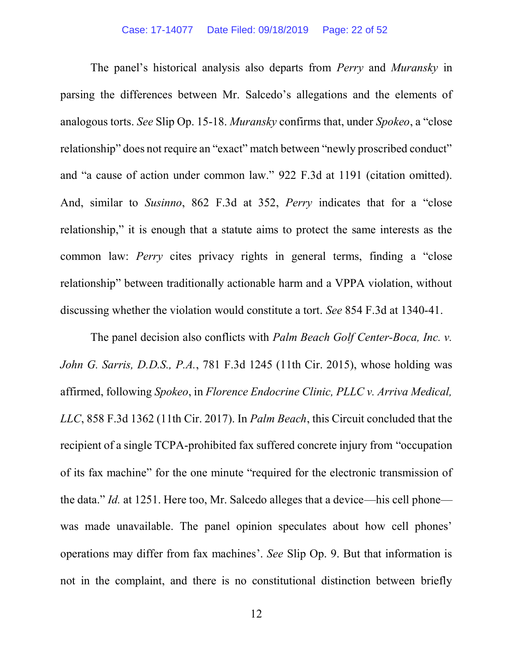The panel's historical analysis also departs from *Perry* and *Muransky* in parsing the differences between Mr. Salcedo's allegations and the elements of analogous torts. See Slip Op. 15-18. *Muransky* confirms that, under Spokeo, a "close" relationship" does not require an "exact" match between "newly proscribed conduct" and "a cause of action under common law." 922 F.3d at 1191 (citation omitted). And, similar to Susinno, 862 F.3d at 352, Perry indicates that for a "close" relationship," it is enough that a statute aims to protect the same interests as the common law: *Perry* cites privacy rights in general terms, finding a "close" relationship" between traditionally actionable harm and a VPPA violation, without discussing whether the violation would constitute a tort. See 854 F.3d at 1340-41.

The panel decision also conflicts with *Palm Beach Golf Center-Boca, Inc. v.* John G. Sarris, D.D.S., P.A., 781 F.3d 1245 (11th Cir. 2015), whose holding was affirmed, following Spokeo, in Florence Endocrine Clinic, PLLC v. Arriva Medical, LLC, 858 F.3d 1362 (11th Cir. 2017). In *Palm Beach*, this Circuit concluded that the recipient of a single TCPA-prohibited fax suffered concrete injury from "occupation" of its fax machine" for the one minute "required for the electronic transmission of the data." Id. at 1251. Here too, Mr. Salcedo alleges that a device—his cell phone was made unavailable. The panel opinion speculates about how cell phones' operations may differ from fax machines'. See Slip Op. 9. But that information is not in the complaint, and there is no constitutional distinction between briefly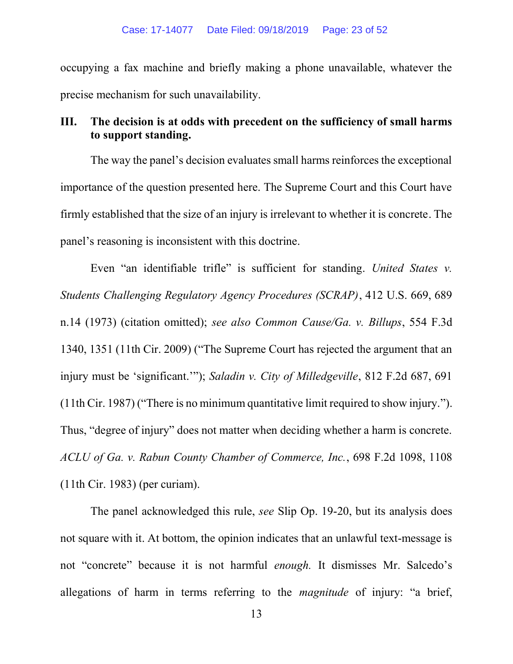occupying a fax machine and briefly making a phone unavailable, whatever the precise mechanism for such unavailability.

### III. The decision is at odds with precedent on the sufficiency of small harms to support standing.

The way the panel's decision evaluates small harms reinforces the exceptional importance of the question presented here. The Supreme Court and this Court have firmly established that the size of an injury is irrelevant to whether it is concrete. The panel's reasoning is inconsistent with this doctrine.

Even "an identifiable trifle" is sufficient for standing. United States  $v$ . Students Challenging Regulatory Agency Procedures (SCRAP), 412 U.S. 669, 689 n.14 (1973) (citation omitted); see also Common Cause/Ga. v. Billups, 554 F.3d 1340, 1351 (11th Cir. 2009) ("The Supreme Court has rejected the argument that an injury must be 'significant.'"); Saladin v. City of Milledgeville, 812 F.2d 687, 691 (11th Cir. 1987) ("There is no minimum quantitative limit required to show injury."). Thus, "degree of injury" does not matter when deciding whether a harm is concrete. ACLU of Ga. v. Rabun County Chamber of Commerce, Inc., 698 F.2d 1098, 1108 (11th Cir. 1983) (per curiam).

The panel acknowledged this rule, see Slip Op. 19-20, but its analysis does not square with it. At bottom, the opinion indicates that an unlawful text-message is not "concrete" because it is not harmful enough. It dismisses Mr. Salcedo's allegations of harm in terms referring to the *magnitude* of injury: "a brief,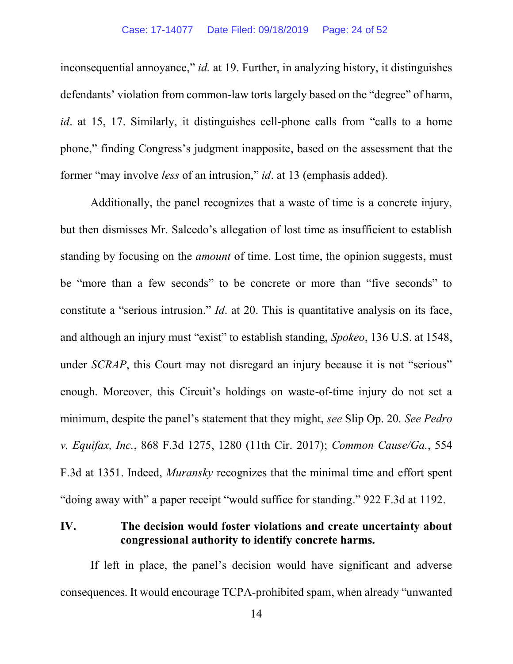inconsequential annoyance," id. at 19. Further, in analyzing history, it distinguishes defendants' violation from common-law torts largely based on the "degree" of harm, *id.* at 15, 17. Similarly, it distinguishes cell-phone calls from "calls to a home phone," finding Congress's judgment inapposite, based on the assessment that the former "may involve less of an intrusion," id. at 13 (emphasis added).

Additionally, the panel recognizes that a waste of time is a concrete injury, but then dismisses Mr. Salcedo's allegation of lost time as insufficient to establish standing by focusing on the *amount* of time. Lost time, the opinion suggests, must be "more than a few seconds" to be concrete or more than "five seconds" to constitute a "serious intrusion." *Id.* at 20. This is quantitative analysis on its face, and although an injury must "exist" to establish standing, *Spokeo*, 136 U.S. at 1548, under *SCRAP*, this Court may not disregard an injury because it is not "serious" enough. Moreover, this Circuit's holdings on waste-of-time injury do not set a minimum, despite the panel's statement that they might, see Slip Op. 20. See Pedro v. Equifax, Inc., 868 F.3d 1275, 1280 (11th Cir. 2017); Common Cause/Ga., 554 F.3d at 1351. Indeed, Muransky recognizes that the minimal time and effort spent "doing away with" a paper receipt "would suffice for standing." 922 F.3d at 1192.

### IV. The decision would foster violations and create uncertainty about congressional authority to identify concrete harms.

If left in place, the panel's decision would have significant and adverse consequences. It would encourage TCPA-prohibited spam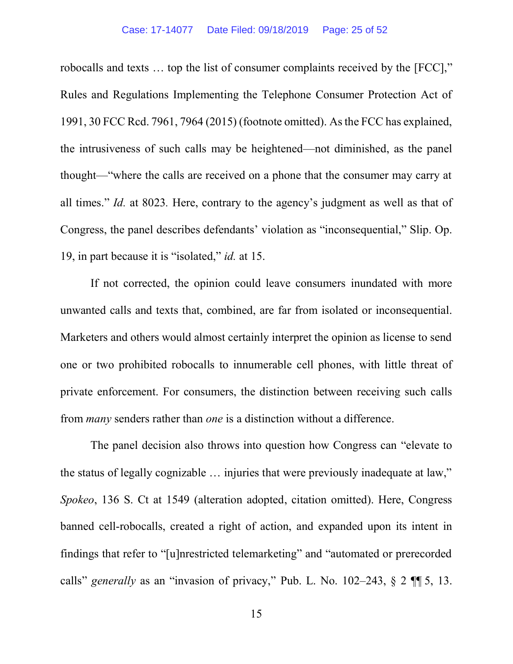robocalls and texts ... top the list of consumer complaints received by the [FCC]," Rules and Regulations Implementing the Telephone Consumer Protection Act of 1991, 30 FCC Rcd. 7961, 7964 (2015) (footnote omitted). As the FCC has explained, the intrusiveness of such calls may be heightened—not diminished, as the panel thought—"where the calls are received on a phone that the consumer may carry at all times." *Id.* at 8023. Here, contrary to the agency's judgment as well as that of Congress, the panel describes defendants' violation as "inconsequential," Slip. Op. 19, in part because it is "isolated," id. at 15.

If not corrected, the opinion could leave consumers inundated with more unwanted calls and texts that, combined, are far from isolated or inconsequential. Marketers and others would almost certainly interpret the opinion as license to send one or two prohibited robocalls to innumerable cell phones, with little threat of private enforcement. For consumers, the distinction between receiving such calls from *many* senders rather than *one* is a distinction without a difference.

The panel decision also throws into question how Congress can "elevate to" the status of legally cognizable ... injuries that were previously inadequate at law," Spokeo, 136 S. Ct at 1549 (alteration adopted, citation omitted). Here, Congress banned cell-robocalls, created a right of action, and expanded upon its intent in findings that refer to "[u]nrestricted telemarketing" and "automated or prerecorded calls" generally as an "invasion of privacy," Pub. L. No.  $102-243$ ,  $\S 2$  ¶ 5, 13.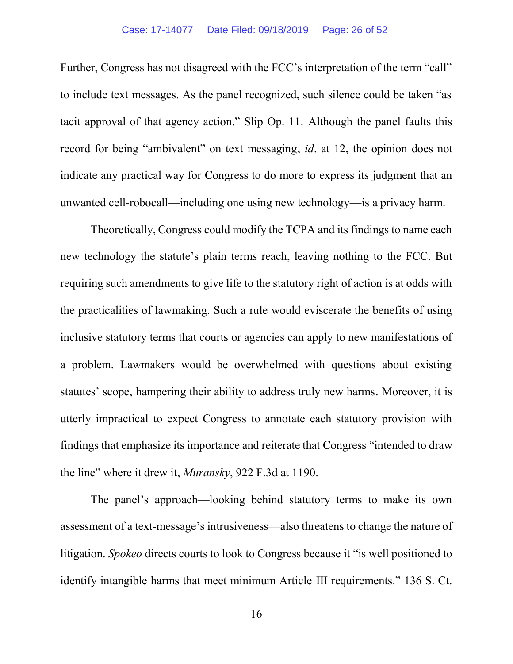Further, Congress has not disagreed with the FCC's interpretation of the term "call" to include text messages. As the panel recognized, such silence could be taken "as tacit approval of that agency action." Slip Op. 11. Although the panel faults this record for being "ambivalent" on text messaging, *id.* at 12, the opinion does not indicate any practical way for Congress to do more to express its judgment that an unwanted cell-robocall—including one using new technology—is a privacy harm.

Theoretically, Congress could modify the TCPA and its findings to name each new technology the statute's plain terms reach, leaving nothing to the FCC. But requiring such amendments to give life to the statutory right of action is at odds with the practicalities of lawmaking. Such a rule would eviscerate the benefits of using inclusive statutory terms that courts or agencies can apply to new manifestations of a problem. Lawmakers would be overwhelmed with questions about existing statutes' scope, hampering their ability to address truly new harms. Moreover, it is utterly impractical to expect Congress to annotate each statutory provision with findings that emphasize its importance and reiterate that Congress the line" where it drew it, *Muransky*, 922 F.3d at 1190.

The panel's approach—looking behind statutory terms to make its own assessment of a text-message's intrusiveness—also threatens to change the nature of litigation. Spokeo directs courts to look to Congress because it "is well positioned to identify intangible harms that meet minimum Article III requirements." 136 S. Ct.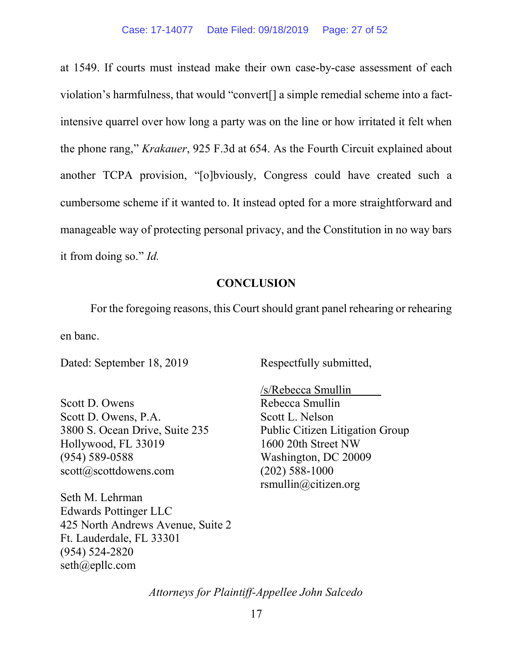at 1549. If courts must instead make their own case-by-case assessment of each violation's harmfulness, that would "convert[] a simple remedial scheme into a factintensive quarrel over how long a party was on the line or how irritated it felt when the phone rang," *Krakauer*, 925 F.3d at 654. As the Fourth Circuit explained about another TCPA provision, "[o]bviously, Congress could have created such a cumbersome scheme if it wanted to. It instead opted for a more straightforward and manageable way of protecting personal privacy, and the Constitution in no way bars it from doing so."  $Id$ .

### **CONCLUSION**

For the foregoing reasons, this Court should grant panel rehearing or rehearing en banc.

Dated: September 18, 2019

Respectfully submitted,

Scott D. Owens Scott D. Owens, P.A. 3800 S. Ocean Drive, Suite 235 Hollywood, FL 33019 (954) 589-0588 scott@scottdowens.com

Seth M. Lehrman Edwards Pottinger LLC 425 North Andrews Avenue, Suite 2 Ft. Lauderdale, FL 33301 (954) 524-2820 seth@epllc.com

/s/Rebecca Smullin Rebecca Smullin Scott L. Nelson Public Citizen Litigation Group 1600 20th Street NW Washington, DC 20009 (202) 588-1000 rsmullin@citizen.org

Attorneys for Plaintiff-Appellee John Salcedo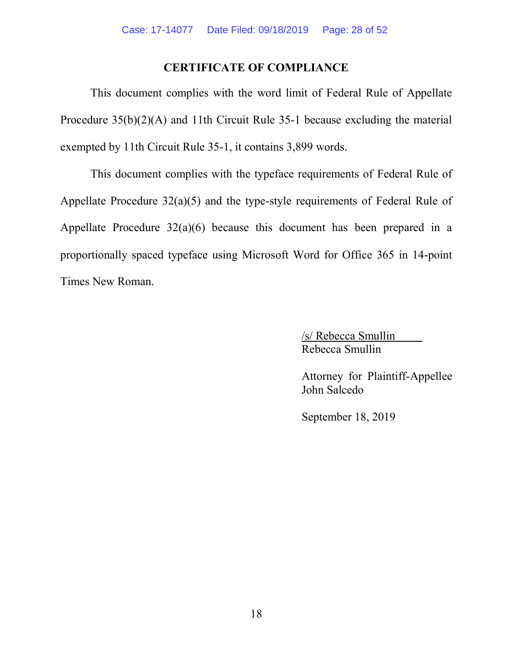### CERTIFICATE OF COMPLIANCE

This document complies with the word limit of Federal Rule of Appellate Procedure 35(b)(2)(A) and 11th Circuit Rule 35-1 because excluding the material exempted by 11th Circuit Rule 35-1, it contains 3,899 words.

This document complies with the typeface requirements of Federal Rule of Appellate Procedure 32(a)(5) and the type-style requirements of Federal Rule of Appellate Procedure 32(a)(6) because this document has been prepared in a proportionally spaced typeface using Microsoft Word for Office 365 in 14-point Times New Roman.

> /s/ Rebecca Smullin Rebecca Smullin

Attorney for Plaintiff-Appellee John Salcedo

September 18, 2019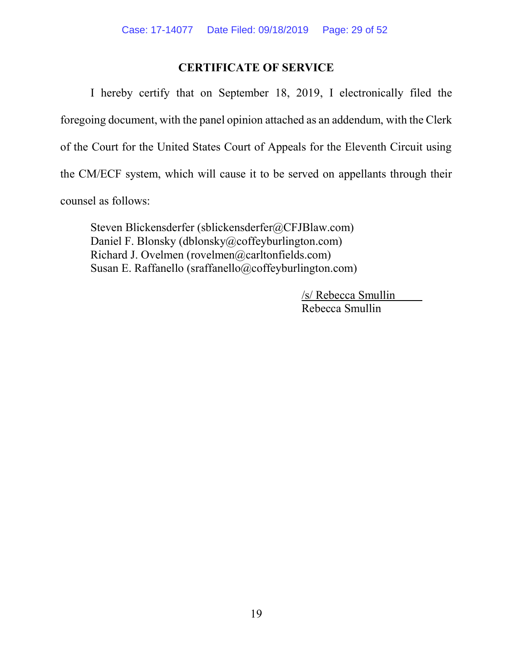### CERTIFICATE OF SERVICE

 I hereby certify that on September 18, 2019, I electronically filed the foregoing document, with the panel opinion attached as an addendum, with the Clerk of the Court for the United States Court of Appeals for the Eleventh Circuit using the CM/ECF system, which will cause it to be served on appellants through their counsel as follows:

Steven Blickensderfer (sblickensderfer@CFJBlaw.com) Daniel F. Blonsky (dblonsky@coffeyburlington.com) Richard J. Ovelmen (rovelmen@carltonfields.com) Susan E. Raffanello (sraffanello@coffeyburlington.com)

> /s/ Rebecca Smullin Rebecca Smullin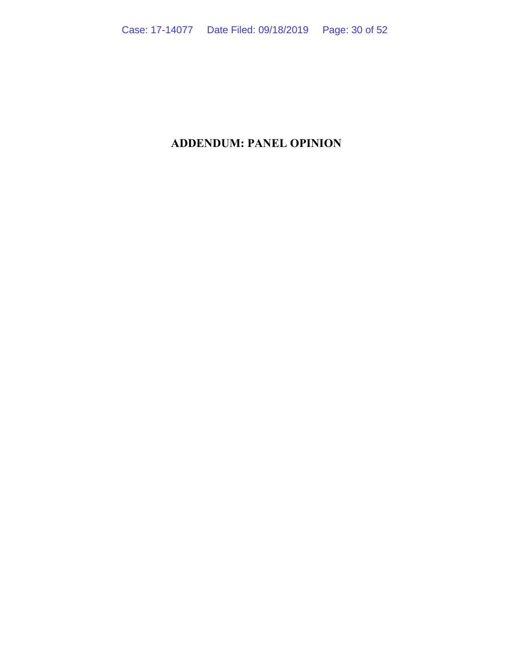### ADDENDUM: PANEL OPINION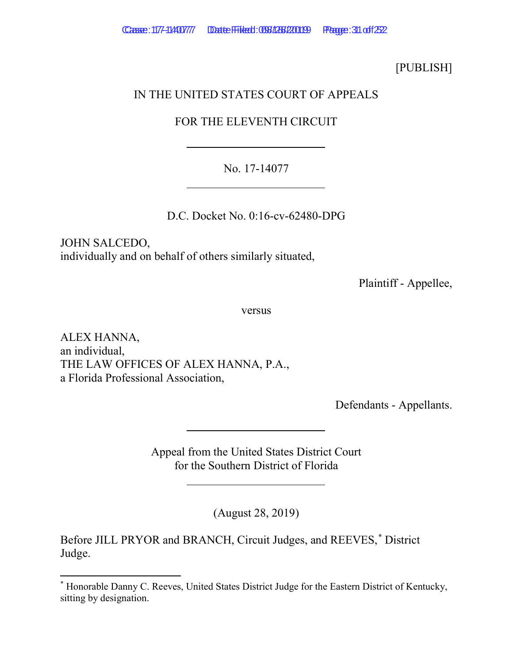### [PUBLISH]

### IN THE UNITED STATES COURT OF APPEALS

### FOR THE ELEVENTH CIRCUIT

### No. 17-14077

D.C. Docket No. 0:16-cv-62480-DPG

JOHN SALCEDO, individually and on behalf of others similarly situated,

Plaintiff - Appellee,

versus

ALEX HANNA, an individual, THE LAW OFFICES OF ALEX HANNA, P.A., a Florida Professional Association,

Defendants - Appellants.

Appeal from the United States District Court for the Southern District of Florida

(August 28, 2019)

Before JILL PRYOR and BRANCH, Circuit Judges, and REEVES,\* District Judge.

<sup>\*</sup> Honorable Danny C. Reeves, United States District Judge for the Eastern District of Kentucky, sitting by designation.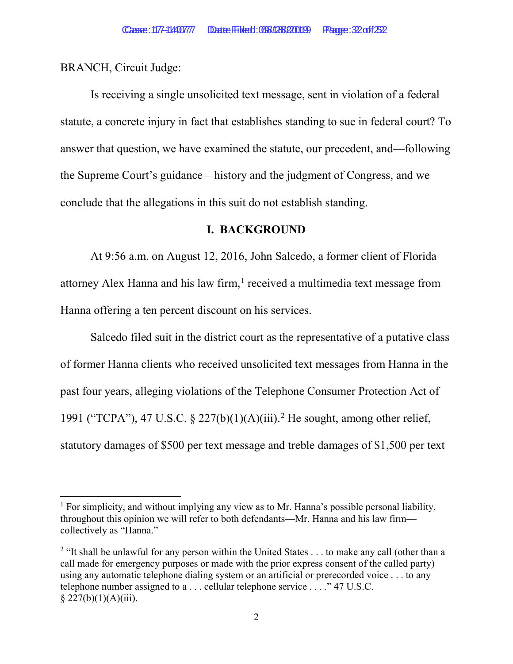BRANCH, Circuit Judge:

Is receiving a single unsolicited text message, sent in violation of a federal statute, a concrete injury in fact that establishes standing to sue in federal court? To answer that question, we have examined the statute, our precedent, and—following the Supreme Court's guidance—history and the judgment of Congress, and we conclude that the allegations in this suit do not establish standing.

### I. BACKGROUND

 At 9:56 a.m. on August 12, 2016, John Salcedo, a former client of Florida attorney Alex Hanna and his law firm, $<sup>1</sup>$  received a multimedia text message from</sup> Hanna offering a ten percent discount on his services.

Salcedo filed suit in the district court as the representative of a putative class of former Hanna clients who received unsolicited text messages from Hanna in the past four years, alleging violations of the Telephone Consumer Protection Act of 1991 ("TCPA"), 47 U.S.C. § 227(b)(1)(A)(iii).<sup>2</sup> He sought, among other relief, statutory damages of \$500 per text message and treble damages of \$1,500 per text

<sup>&</sup>lt;sup>1</sup> For simplicity, and without implying any view as to Mr. Hanna's possible personal liability, throughout this opinion we will refer to both defendants—Mr. Hanna and his law firm collectively as "Hanna."

<sup>&</sup>lt;sup>2</sup> "It shall be unlawful for any person within the United States  $\dots$  to make any call (other than a call made for emergency purposes or made with the prior express consent of the called party) using any automatic telephone dialing system or an artificial or prerecorded voice . . . to any telephone number assigned to a . . . cellular telephone service . . . ." 47 U.S.C.  $§ 227(b)(1)(A)(iii).$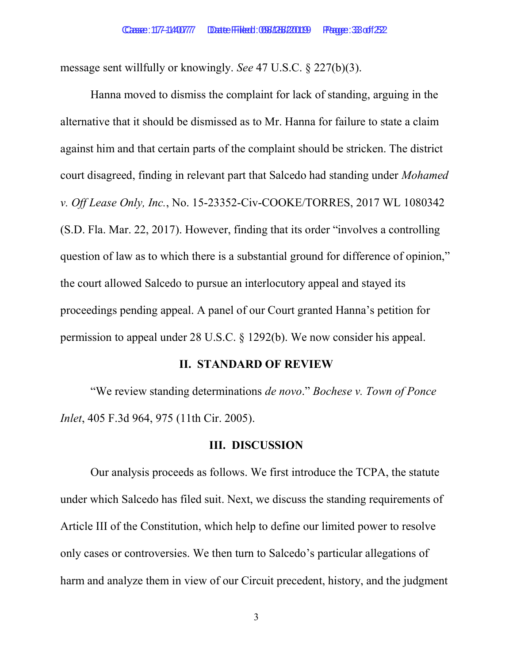message sent willfully or knowingly. See 47 U.S.C. § 227(b)(3).

 Hanna moved to dismiss the complaint for lack of standing, arguing in the alternative that it should be dismissed as to Mr. Hanna for failure to state a claim against him and that certain parts of the complaint should be stricken. The district court disagreed, finding in relevant part that Salcedo had standing under Mohamed v. Off Lease Only, Inc., No. 15-23352-Civ-COOKE/TORRES, 2017 WL 1080342 (S.D. Fla. Mar. 22, 2017). However, finding that its order "involves a controlling question of law as to which there is a substantial ground for difference of opinion," the court allowed Salcedo to pursue an interlocutory appeal and stayed its proceedings pending appeal. A panel of our Court granted Hanna's petition for permission to appeal under 28 U.S.C. § 1292(b). We now consider his appeal.

#### II. STANDARD OF REVIEW

 "We review standing determinations de novo." Bochese v. Town of Ponce Inlet, 405 F.3d 964, 975 (11th Cir. 2005).

#### III. DISCUSSION

 Our analysis proceeds as follows. We first introduce the TCPA, the statute under which Salcedo has filed suit. Next, we discuss the standing requirements of Article III of the Constitution, which help to define our limited power to resolve only cases or controversies. We then turn to Salcedo's particular allegations of harm and analyze them in view of our Circuit precedent, history, and the judgment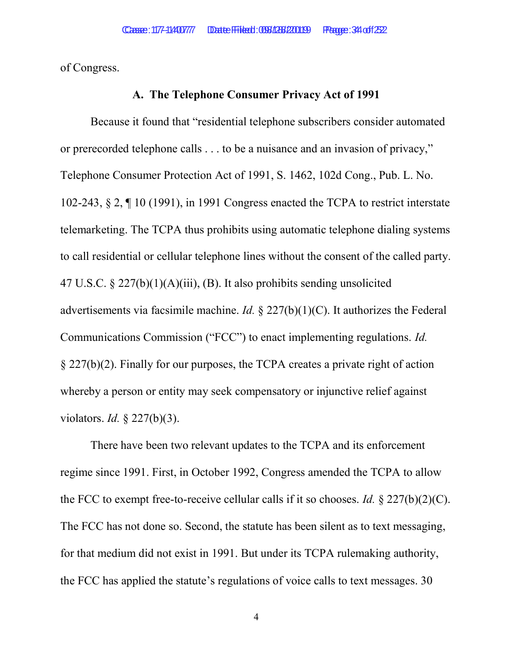of Congress.

#### A. The Telephone Consumer Privacy Act of 1991

 Because it found that "residential telephone subscribers consider automated or prerecorded telephone calls . . . to be a nuisance and an invasion of privacy," Telephone Consumer Protection Act of 1991, S. 1462, 102d Cong., Pub. L. No. 102-243, § 2, ¶ 10 (1991), in 1991 Congress enacted the TCPA to restrict interstate telemarketing. The TCPA thus prohibits using automatic telephone dialing systems to call residential or cellular telephone lines without the consent of the called party. 47 U.S.C. § 227(b)(1)(A)(iii), (B). It also prohibits sending unsolicited advertisements via facsimile machine. *Id.* § 227(b)(1)(C). It authorizes the Federal Communications Commission ("FCC") to enact implementing regulations. Id. § 227(b)(2). Finally for our purposes, the TCPA creates a private right of action whereby a person or entity may seek compensatory or injunctive relief against violators. *Id.*  $\S$  227(b)(3).

There have been two relevant updates to the TCPA and its enforcement regime since 1991. First, in October 1992, Congress amended the TCPA to allow the FCC to exempt free-to-receive cellular calls if it so chooses. Id.  $\S 227(b)(2)(C)$ . The FCC has not done so. Second, the statute has been silent as to text messaging, for that medium did not exist in 1991. But under its TCPA rulemaking authority, the FCC has applied the statute's regulations of voice calls to text messages. 30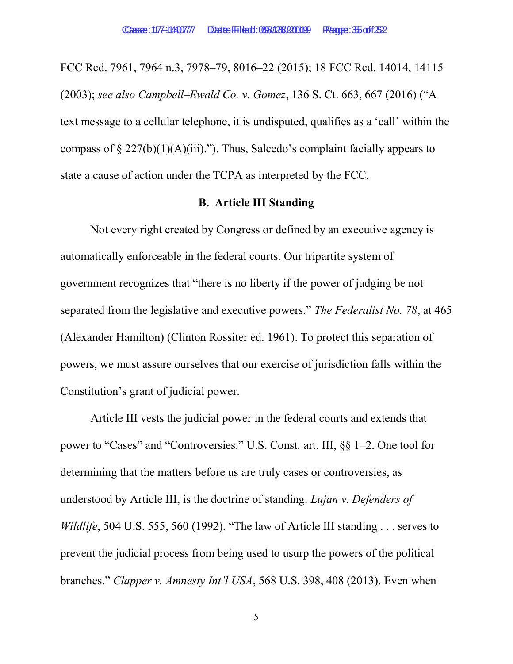FCC Rcd. 7961, 7964 n.3, 7978–79, 8016–22 (2015); 18 FCC Rcd. 14014, 14115 (2003); see also Campbell–Ewald Co. v. Gomez, 136 S. Ct. 663, 667 (2016) ("A text message to a cellular telephone, it is undisputed, qualifies as a 'call' within the compass of  $\S 227(b)(1)(A)(iii)$ ."). Thus, Salcedo's complaint facially appears to state a cause of action under the TCPA as interpreted by the FCC.

### B. Article III Standing

 Not every right created by Congress or defined by an executive agency is automatically enforceable in the federal courts. Our tripartite system of government recognizes that "there is no liberty if the power of judging be not separated from the legislative and executive powers." The Federalist No. 78, at 465 (Alexander Hamilton) (Clinton Rossiter ed. 1961). To protect this separation of powers, we must assure ourselves that our exercise of jurisdiction falls within the Constitution's grant of judicial power.

Article III vests the judicial power in the federal courts and extends that power to "Cases" and "Controversies." U.S. Const. art. III, §§ 1–2. One tool for determining that the matters before us are truly cases or controversies, as understood by Article III, is the doctrine of standing. Lujan v. Defenders of Wildlife, 504 U.S. 555, 560 (1992). "The law of Article III standing . . . serves to prevent the judicial process from being used to usurp the powers of the political branches." Clapper v. Amnesty Int'l USA, 568 U.S. 398, 408 (2013). Even when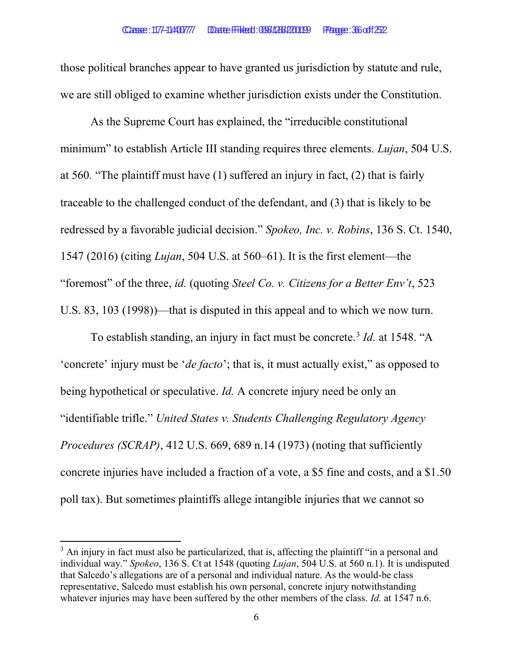those political branches appear to have granted us jurisdiction by statute and rule, we are still obliged to examine whether jurisdiction exists under the Constitution.

As the Supreme Court has explained, the "irreducible constitutional minimum" to establish Article III standing requires three elements. *Lujan*, 504 U.S. at 560. "The plaintiff must have (1) suffered an injury in fact, (2) that is fairly traceable to the challenged conduct of the defendant, and (3) that is likely to be redressed by a favorable judicial decision." Spokeo, Inc. v. Robins, 136 S. Ct. 1540, 1547 (2016) (citing Lujan, 504 U.S. at 560–61). It is the first element—the "foremost" of the three, *id.* (quoting *Steel Co. v. Citizens for a Better Env't*, 523 U.S. 83, 103 (1998))—that is disputed in this appeal and to which we now turn.

To establish standing, an injury in fact must be concrete.<sup>3</sup> *Id.* at 1548. "A 'concrete' injury must be 'de facto'; that is, it must actually exist," as opposed to being hypothetical or speculative. Id. A concrete injury need be only an "identifiable trifle." United States v. Students Challenging Regulatory Agency Procedures (SCRAP), 412 U.S. 669, 689 n.14 (1973) (noting that sufficiently concrete injuries have included a fraction of a vote, a \$5 fine and costs, and a \$1.50 poll tax). But sometimes plaintiffs allege intangible injuries that we cannot so

 $3$  An injury in fact must also be particularized, that is, affecting the plaintiff "in a personal and individual way." Spokeo, 136 S. Ct at 1548 (quoting Lujan, 504 U.S. at 560 n.1). It is undisputed that Salcedo's allegations are of a personal and individual nature. As the would-be class representative, Salcedo must establish his own personal, concrete injury notwithstanding whatever injuries may have been suffered by the other members of the class. *Id.* at 1547 n.6.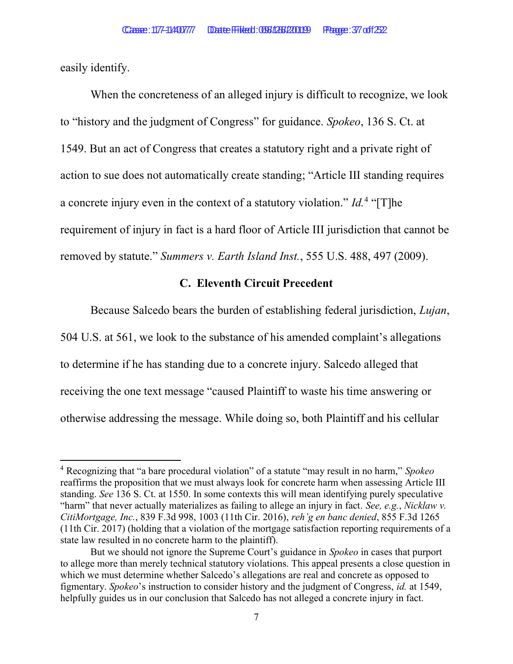easily identify.

When the concreteness of an alleged injury is difficult to recognize, we look to "history and the judgment of Congress" for guidance. Spokeo, 136 S. Ct. at 1549. But an act of Congress that creates a statutory right and a private right of action to sue does not automatically create standing; "Article III standing requires a concrete injury even in the context of a statutory violation."  $Id.4$  "[T]he requirement of injury in fact is a hard floor of Article III jurisdiction that cannot be removed by statute." Summers v. Earth Island Inst., 555 U.S. 488, 497 (2009).

### C. Eleventh Circuit Precedent

Because Salcedo bears the burden of establishing federal jurisdiction, Lujan, 504 U.S. at 561, we look to the substance of his amended complaint's allegations to determine if he has standing due to a concrete injury. Salcedo alleged that receiving the one text message "caused Plaintiff to waste his time answering or otherwise addressing the message. While doing so, both Plaintiff and his cellular

<sup>&</sup>lt;sup>4</sup> Recognizing that "a bare procedural violation" of a statute "may result in no harm," Spokeo reaffirms the proposition that we must always look for concrete harm when assessing Article III standing. See 136 S. Ct. at 1550. In some contexts this will mean identifying purely speculative "harm" that never actually materializes as failing to allege an injury in fact. See, e.g., Nicklaw v. CitiMortgage, Inc., 839 F.3d 998, 1003 (11th Cir. 2016), reh'g en banc denied, 855 F.3d 1265 (11th Cir. 2017) (holding that a violation of the mortgage satisfaction reporting requirements of a state law resulted in no concrete harm to the plaintiff).

But we should not ignore the Supreme Court's guidance in *Spokeo* in cases that purport to allege more than merely technical statutory violations. This appeal presents a close question in which we must determine whether Salcedo's allegations are real and concrete as opposed to figmentary. Spokeo's instruction to consider history and the judgment of Congress, id. at 1549, helpfully guides us in our conclusion that Salcedo has not alleged a concrete injury in fact.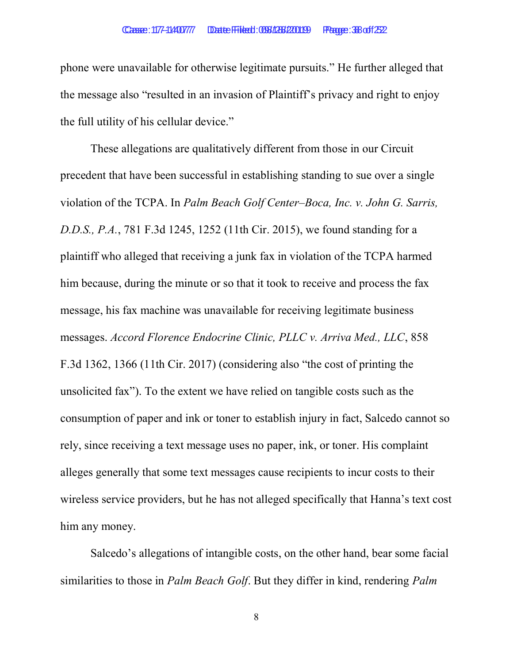phone were unavailable for otherwise legitimate pursuits." He further alleged that the message also "resulted in an invasion of Plaintiff's privacy and right to enjoy the full utility of his cellular device."

 These allegations are qualitatively different from those in our Circuit precedent that have been successful in establishing standing to sue over a single violation of the TCPA. In Palm Beach Golf Center–Boca, Inc. v. John G. Sarris, D.D.S., P.A., 781 F.3d 1245, 1252 (11th Cir. 2015), we found standing for a plaintiff who alleged that receiving a junk fax in violation of the TCPA harmed him because, during the minute or so that it took to receive and process the fax message, his fax machine was unavailable for receiving legitimate business messages. Accord Florence Endocrine Clinic, PLLC v. Arriva Med., LLC, 858 F.3d 1362, 1366 (11th Cir. 2017) (considering also "the cost of printing the unsolicited fax"). To the extent we have relied on tangible costs such as the consumption of paper and ink or toner to establish injury in fact, Salcedo cannot so rely, since receiving a text message uses no paper, ink, or toner. His complaint alleges generally that some text messages cause recipients to incur costs to their wireless service providers, but he has not alleged specifically that Hanna's text cost him any money.

Salcedo's allegations of intangible costs, on the other hand, bear some facial similarities to those in *Palm Beach Golf*. But they differ in kind, rendering *Palm* 

8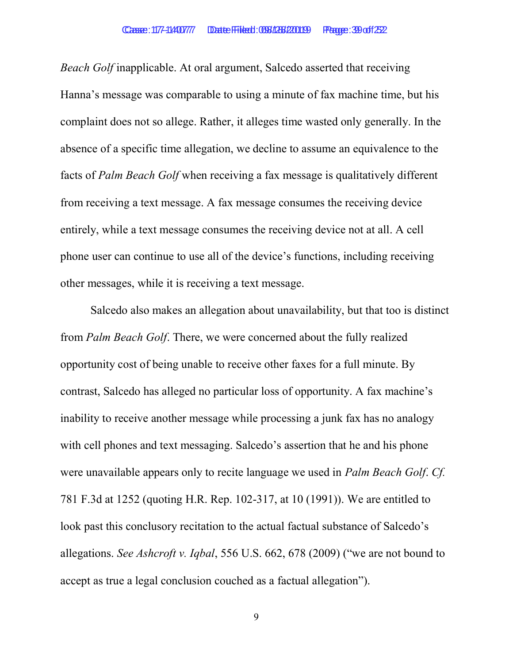Beach Golf inapplicable. At oral argument, Salcedo asserted that receiving Hanna's message was comparable to using a minute of fax machine time, but his complaint does not so allege. Rather, it alleges time wasted only generally. In the absence of a specific time allegation, we decline to assume an equivalence to the facts of Palm Beach Golf when receiving a fax message is qualitatively different from receiving a text message. A fax message consumes the receiving device entirely, while a text message consumes the receiving device not at all. A cell phone user can continue to use all of the device's functions, including receiving other messages, while it is receiving a text message.

Salcedo also makes an allegation about unavailability, but that too is distinct from Palm Beach Golf. There, we were concerned about the fully realized opportunity cost of being unable to receive other faxes for a full minute. By contrast, Salcedo has alleged no particular loss of opportunity. A fax machine's inability to receive another message while processing a junk fax has no analogy with cell phones and text messaging. Salcedo's assertion that he and his phone were unavailable appears only to recite language we used in Palm Beach Golf. Cf. 781 F.3d at 1252 (quoting H.R. Rep. 102-317, at 10 (1991)). We are entitled to look past this conclusory recitation to the actual factual substance of Salcedo's allegations. See Ashcroft v. Iqbal, 556 U.S. 662, 678 (2009) ("we are not bound to accept as true a legal conclusion couched as a factual allegation").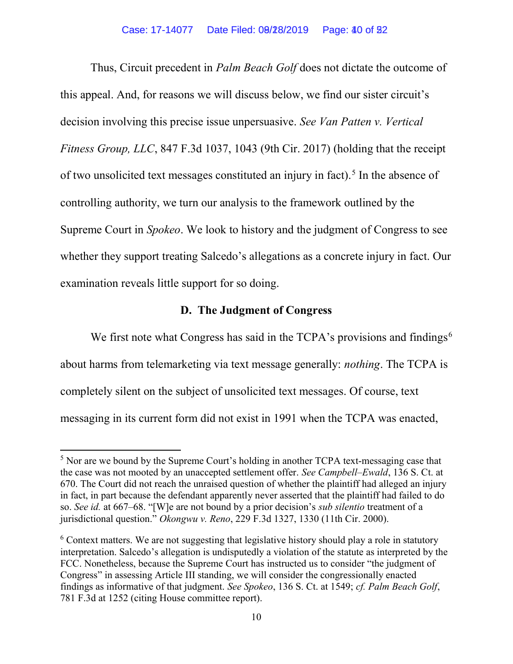Thus, Circuit precedent in *Palm Beach Golf* does not dictate the outcome of this appeal. And, for reasons we will discuss below, we find our sister circuit's decision involving this precise issue unpersuasive. See Van Patten v. Vertical Fitness Group, LLC, 847 F.3d 1037, 1043 (9th Cir. 2017) (holding that the receipt of two unsolicited text messages constituted an injury in fact).<sup>5</sup> In the absence of controlling authority, we turn our analysis to the framework outlined by the Supreme Court in Spokeo. We look to history and the judgment of Congress to see whether they support treating Salcedo's allegations as a concrete injury in fact. Our examination reveals little support for so doing.

### D. The Judgment of Congress

We first note what Congress has said in the  $TCPA$ 's provisions and findings<sup>6</sup> about harms from telemarketing via text message generally: nothing. The TCPA is completely silent on the subject of unsolicited text messages. Of course, text messaging in its current form did not exist in 1991 when the TCPA was enacted,

<sup>&</sup>lt;sup>5</sup> Nor are we bound by the Supreme Court's holding in another TCPA text-messaging case that the case was not mooted by an unaccepted settlement offer. See Campbell–Ewald, 136 S. Ct. at 670. The Court did not reach the unraised question of whether the plaintiff had alleged an injury in fact, in part because the defendant apparently never asserted that the plaintiff had failed to do so. See id. at 667–68. "[W]e are not bound by a prior decision's *sub silentio* treatment of a jurisdictional question." Okongwu v. Reno, 229 F.3d 1327, 1330 (11th Cir. 2000).

 $6$  Context matters. We are not suggesting that legislative history should play a role in statutory interpretation. Salcedo's allegation is undisputedly a violation of the statute as interpreted by the FCC. Nonetheless, because the Supreme Court has instructed us to consider "the judgment of Congress" in assessing Article III standing, we will consider the congressionally enacted findings as informative of that judgment. See Spokeo, 136 S. Ct. at 1549; cf. Palm Beach Golf, 781 F.3d at 1252 (citing House committee report).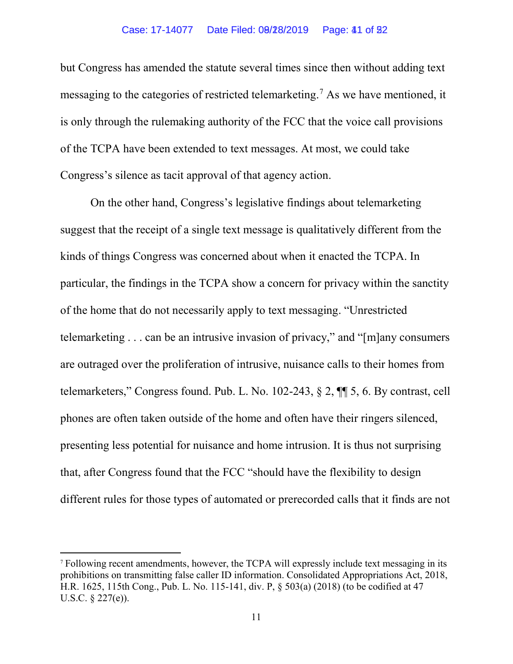but Congress has amended the statute several times since then without adding text messaging to the categories of restricted telemarketing.<sup>7</sup> As we have mentioned, it is only through the rulemaking authority of the FCC that the voice call provisions of the TCPA have been extended to text messages. At most, we could take Congress's silence as tacit approval of that agency action.

On the other hand, Congress's legislative findings about telemarketing suggest that the receipt of a single text message is qualitatively different from the kinds of things Congress was concerned about when it enacted the TCPA. In particular, the findings in the TCPA show a concern for privacy within the sanctity of the home that do not necessarily apply to text messaging. "Unrestricted telemarketing . . . can be an intrusive invasion of privacy," and "[m]any consumers are outraged over the proliferation of intrusive, nuisance calls to their homes from telemarketers," Congress found. Pub. L. No. 102-243, § 2, ¶¶ 5, 6. By contrast, cell phones are often taken outside of the home and often have their ringers silenced, presenting less potential for nuisance and home intrusion. It is thus not surprising that, after Congress found that the FCC "should have the flexibility to design different rules for those types of automated or prerecorded calls that it finds are not

<sup>7</sup> Following recent amendments, however, the TCPA will expressly include text messaging in its prohibitions on transmitting false caller ID information. Consolidated Appropriations Act, 2018, H.R. 1625, 115th Cong., Pub. L. No. 115-141, div. P, § 503(a) (2018) (to be codified at 47 U.S.C. § 227(e)).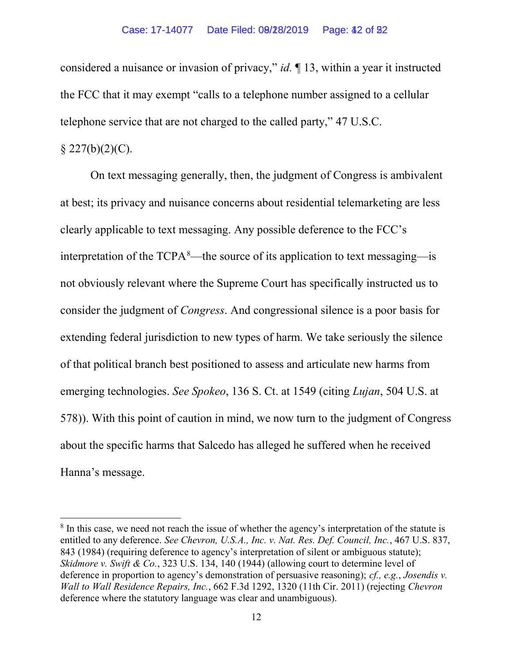considered a nuisance or invasion of privacy," id. ¶ 13, within a year it instructed the FCC that it may exempt "calls to a telephone number assigned to a cellular telephone service that are not charged to the called party," 47 U.S.C.

### $\S 227(b)(2)(C)$ .

On text messaging generally, then, the judgment of Congress is ambivalent at best; its privacy and nuisance concerns about residential telemarketing are less clearly applicable to text messaging. Any possible deference to the FCC's interpretation of the  $TCPA<sup>8</sup>$ —the source of its application to text messaging—is not obviously relevant where the Supreme Court has specifically instructed us to consider the judgment of Congress. And congressional silence is a poor basis for extending federal jurisdiction to new types of harm. We take seriously the silence of that political branch best positioned to assess and articulate new harms from emerging technologies. See Spokeo, 136 S. Ct. at 1549 (citing Lujan, 504 U.S. at 578)). With this point of caution in mind, we now turn to the judgment of Congress about the specific harms that Salcedo has alleged he suffered when he received Hanna's message.

<sup>&</sup>lt;sup>8</sup> In this case, we need not reach the issue of whether the agency's interpretation of the statute is entitled to any deference. See Chevron, U.S.A., Inc. v. Nat. Res. Def. Council, Inc., 467 U.S. 837, 843 (1984) (requiring deference to agency's interpretation of silent or ambiguous statute); Skidmore v. Swift & Co., 323 U.S. 134, 140 (1944) (allowing court to determine level of deference in proportion to agency's demonstration of persuasive reasoning); cf., e.g., Josendis v. Wall to Wall Residence Repairs, Inc., 662 F.3d 1292, 1320 (11th Cir. 2011) (rejecting Chevron deference where the statutory language was clear and unambiguous).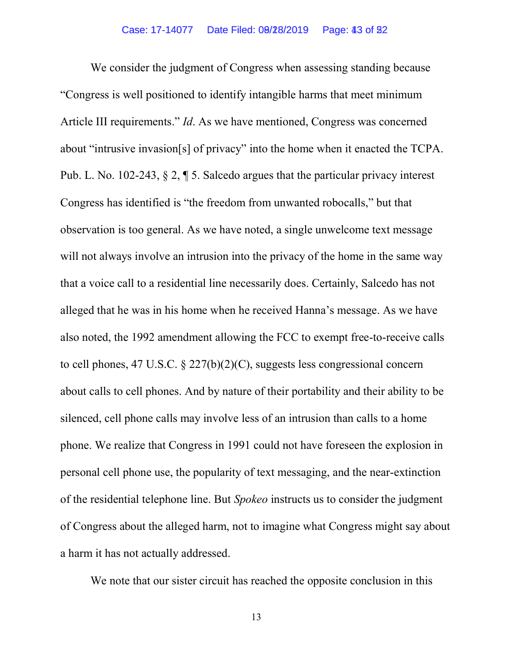We consider the judgment of Congress when assessing standing because "Congress is well positioned to identify intangible harms that meet minimum Article III requirements." Id. As we have mentioned, Congress was concerned about "intrusive invasion[s] of privacy" into the home when it enacted the TCPA. Pub. L. No. 102-243, § 2, ¶ 5. Salcedo argues that the particular privacy interest Congress has identified is "the freedom from unwanted robocalls," but that observation is too general. As we have noted, a single unwelcome text message will not always involve an intrusion into the privacy of the home in the same way that a voice call to a residential line necessarily does. Certainly, Salcedo has not alleged that he was in his home when he received Hanna's message. As we have also noted, the 1992 amendment allowing the FCC to exempt free-to-receive calls to cell phones, 47 U.S.C. § 227(b)(2)(C), suggests less congressional concern about calls to cell phones. And by nature of their portability and their ability to be silenced, cell phone calls may involve less of an intrusion than calls to a home phone. We realize that Congress in 1991 could not have foreseen the explosion in personal cell phone use, the popularity of text messaging, and the near-extinction of the residential telephone line. But Spokeo instructs us to consider the judgment of Congress about the alleged harm, not to imagine what Congress might say about a harm it has not actually addressed.

We note that our sister circuit has reached the opposite conclusion in this

13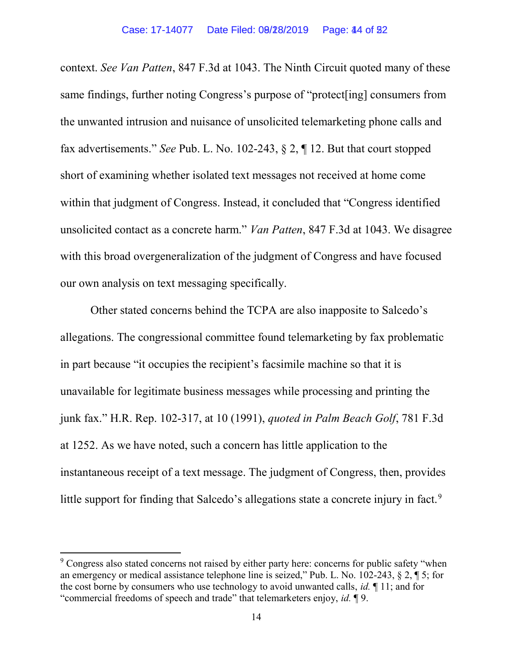context. See Van Patten, 847 F.3d at 1043. The Ninth Circuit quoted many of these same findings, further noting Congress's purpose of "protect[ing] consumers from the unwanted intrusion and nuisance of unsolicited telemarketing phone calls and fax advertisements." See Pub. L. No. 102-243, § 2, ¶ 12. But that court stopped short of examining whether isolated text messages not received at home come within that judgment of Congress. Instead, it concluded that "Congress identified unsolicited contact as a concrete harm." Van Patten, 847 F.3d at 1043. We disagree with this broad overgeneralization of the judgment of Congress and have focused our own analysis on text messaging specifically.

Other stated concerns behind the TCPA are also inapposite to Salcedo's allegations. The congressional committee found telemarketing by fax problematic in part because "it occupies the recipient's facsimile machine so that it is unavailable for legitimate business messages while processing and printing the junk fax." H.R. Rep. 102-317, at 10 (1991), quoted in Palm Beach Golf, 781 F.3d at 1252. As we have noted, such a concern has little application to the instantaneous receipt of a text message. The judgment of Congress, then, provides little support for finding that Salcedo's allegations state a concrete injury in fact.<sup>9</sup>

 $9^9$  Congress also stated concerns not raised by either party here: concerns for public safety "when an emergency or medical assistance telephone line is seized," Pub. L. No. 102-243, § 2, ¶ 5; for the cost borne by consumers who use technology to avoid unwanted calls, *id.*  $\P$  11; and for "commercial freedoms of speech and trade" that telemarketers enjoy, id. ¶ 9.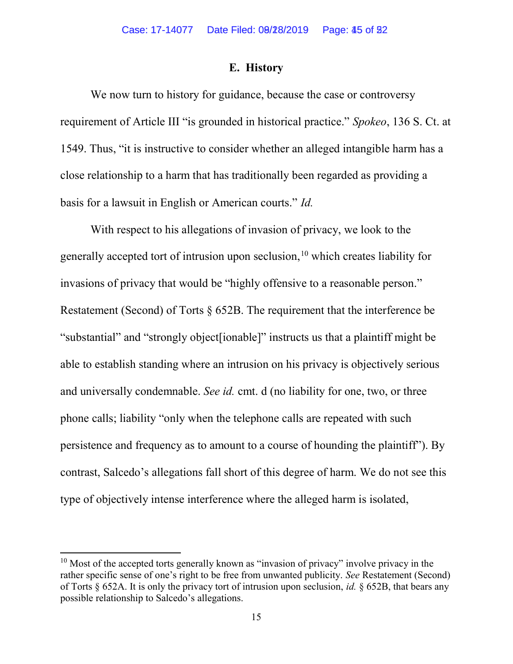#### E. History

We now turn to history for guidance, because the case or controversy requirement of Article III "is grounded in historical practice." Spokeo, 136 S. Ct. at 1549. Thus, "it is instructive to consider whether an alleged intangible harm has a close relationship to a harm that has traditionally been regarded as providing a basis for a lawsuit in English or American courts." Id.

With respect to his allegations of invasion of privacy, we look to the generally accepted tort of intrusion upon seclusion,  $10$  which creates liability for invasions of privacy that would be "highly offensive to a reasonable person." Restatement (Second) of Torts § 652B. The requirement that the interference be "substantial" and "strongly object[ionable]" instructs us that a plaintiff might be able to establish standing where an intrusion on his privacy is objectively serious and universally condemnable. See id. cmt. d (no liability for one, two, or three phone calls; liability "only when the telephone calls are repeated with such persistence and frequency as to amount to a course of hounding the plaintiff"). By contrast, Salcedo's allegations fall short of this degree of harm. We do not see this type of objectively intense interference where the alleged harm is isolated,

 $10$  Most of the accepted torts generally known as "invasion of privacy" involve privacy in the rather specific sense of one's right to be free from unwanted publicity. See Restatement (Second) of Torts  $\S$  652A. It is only the privacy tort of intrusion upon seclusion, *id.*  $\S$  652B, that bears any possible relationship to Salcedo's allegations.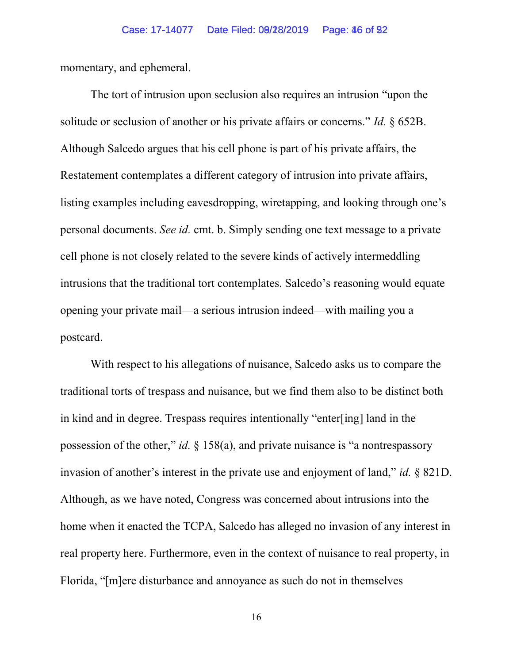momentary, and ephemeral.

The tort of intrusion upon seclusion also requires an intrusion "upon the solitude or seclusion of another or his private affairs or concerns." *Id.*  $\delta$  652B. Although Salcedo argues that his cell phone is part of his private affairs, the Restatement contemplates a different category of intrusion into private affairs, listing examples including eavesdropping, wiretapping, and looking through one's personal documents. See id. cmt. b. Simply sending one text message to a private cell phone is not closely related to the severe kinds of actively intermeddling intrusions that the traditional tort contemplates. Salcedo's reasoning would equate opening your private mail—a serious intrusion indeed—with mailing you a postcard.

With respect to his allegations of nuisance, Salcedo asks us to compare the traditional torts of trespass and nuisance, but we find them also to be distinct both in kind and in degree. Trespass requires intentionally "enter[ing] land in the possession of the other," id.  $\S$  158(a), and private nuisance is "a nontrespassory invasion of another's interest in the private use and enjoyment of land," id. § 821D. Although, as we have noted, Congress was concerned about intrusions into the home when it enacted the TCPA, Salcedo has alleged no invasion of any interest in real property here. Furthermore, even in the context of nuisance to real property, in Florida, "[m]ere disturbance and annoyance as such do not in themselves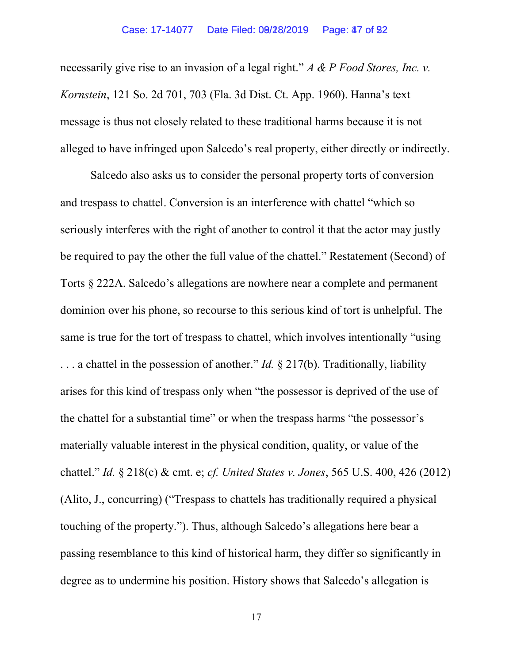necessarily give rise to an invasion of a legal right." A & P Food Stores, Inc. v. Kornstein, 121 So. 2d 701, 703 (Fla. 3d Dist. Ct. App. 1960). Hanna's text message is thus not closely related to these traditional harms because it is not alleged to have infringed upon Salcedo's real property, either directly or indirectly.

Salcedo also asks us to consider the personal property torts of conversion and trespass to chattel. Conversion is an interference with chattel "which so seriously interferes with the right of another to control it that the actor may justly be required to pay the other the full value of the chattel." Restatement (Second) of Torts § 222A. Salcedo's allegations are nowhere near a complete and permanent dominion over his phone, so recourse to this serious kind of tort is unhelpful. The same is true for the tort of trespass to chattel, which involves intentionally "using  $\ldots$  a chattel in the possession of another." *Id.* § 217(b). Traditionally, liability arises for this kind of trespass only when "the possessor is deprived of the use of the chattel for a substantial time" or when the trespass harms "the possessor's materially valuable interest in the physical condition, quality, or value of the chattel." Id. § 218(c) & cmt. e; cf. United States v. Jones, 565 U.S. 400, 426 (2012) (Alito, J., concurring) ("Trespass to chattels has traditionally required a physical touching of the property."). Thus, although Salcedo's allegations here bear a passing resemblance to this kind of historical harm, they differ so significantly in degree as to undermine his position. History shows that Salcedo's allegation is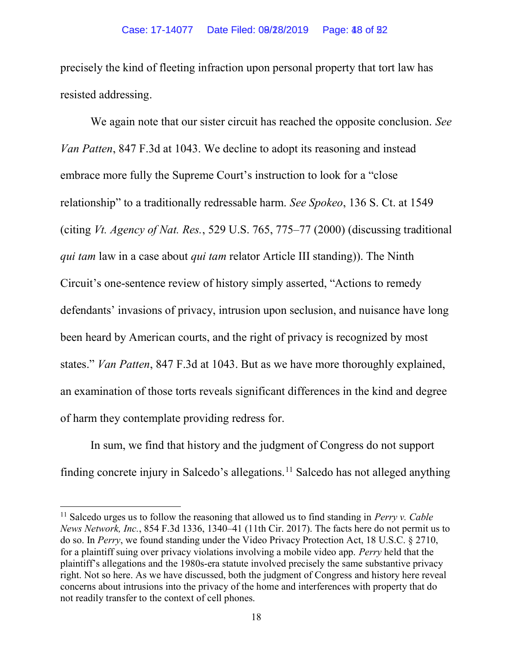precisely the kind of fleeting infraction upon personal property that tort law has resisted addressing.

We again note that our sister circuit has reached the opposite conclusion. See Van Patten, 847 F.3d at 1043. We decline to adopt its reasoning and instead embrace more fully the Supreme Court's instruction to look for a "close relationship" to a traditionally redressable harm. See Spokeo, 136 S. Ct. at 1549 (citing Vt. Agency of Nat. Res., 529 U.S. 765, 775–77 (2000) (discussing traditional qui tam law in a case about qui tam relator Article III standing). The Ninth Circuit's one-sentence review of history simply asserted, "Actions to remedy defendants' invasions of privacy, intrusion upon seclusion, and nuisance have long been heard by American courts, and the right of privacy is recognized by most states." Van Patten, 847 F.3d at 1043. But as we have more thoroughly explained, an examination of those torts reveals significant differences in the kind and degree of harm they contemplate providing redress for.

In sum, we find that history and the judgment of Congress do not support finding concrete injury in Salcedo's allegations.<sup>11</sup> Salcedo has not alleged anything

 $11$  Salcedo urges us to follow the reasoning that allowed us to find standing in Perry v. Cable News Network, Inc., 854 F.3d 1336, 1340–41 (11th Cir. 2017). The facts here do not permit us to do so. In Perry, we found standing under the Video Privacy Protection Act, 18 U.S.C. § 2710, for a plaintiff suing over privacy violations involving a mobile video app. Perry held that the plaintiff's allegations and the 1980s-era statute involved precisely the same substantive privacy right. Not so here. As we have discussed, both the judgment of Congress and history here reveal concerns about intrusions into the privacy of the home and interferences with property that do not readily transfer to the context of cell phones.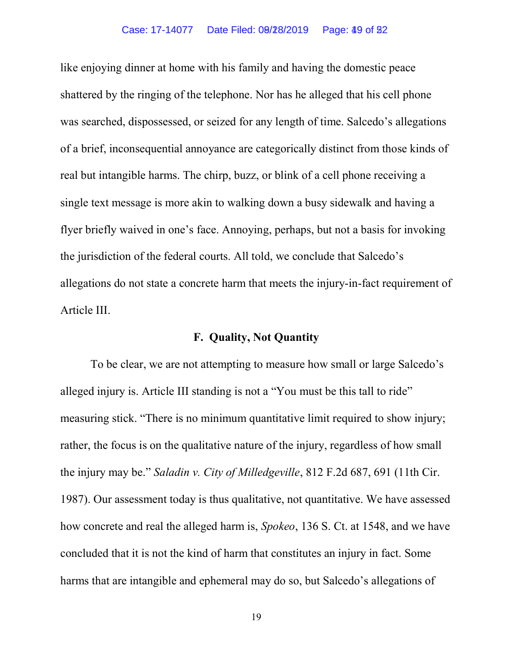like enjoying dinner at home with his family and having the domestic peace shattered by the ringing of the telephone. Nor has he alleged that his cell phone was searched, dispossessed, or seized for any length of time. Salcedo's allegations of a brief, inconsequential annoyance are categorically distinct from those kinds of real but intangible harms. The chirp, buzz, or blink of a cell phone receiving a single text message is more akin to walking down a busy sidewalk and having a flyer briefly waived in one's face. Annoying, perhaps, but not a basis for invoking the jurisdiction of the federal courts. All told, we conclude that Salcedo's allegations do not state a concrete harm that meets the injury-in-fact requirement of Article III.

### F. Quality, Not Quantity

To be clear, we are not attempting to measure how small or large Salcedo's alleged injury is. Article III standing is not a "You must be this tall to ride" measuring stick. "There is no minimum quantitative limit required to show injury; rather, the focus is on the qualitative nature of the injury, regardless of how small the injury may be." Saladin v. City of Milledgeville, 812 F.2d 687, 691 (11th Cir. 1987). Our assessment today is thus qualitative, not quantitative. We have assessed how concrete and real the alleged harm is, *Spokeo*, 136 S. Ct. at 1548, and we have concluded that it is not the kind of harm that constitutes an injury in fact. Some harms that are intangible and ephemeral may do so, but Salcedo's allegations of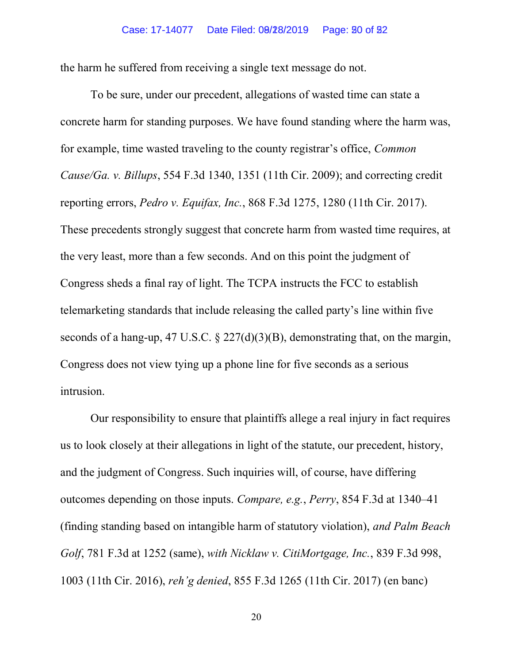the harm he suffered from receiving a single text message do not.

To be sure, under our precedent, allegations of wasted time can state a concrete harm for standing purposes. We have found standing where the harm was, for example, time wasted traveling to the county registrar's office, Common Cause/Ga. v. Billups, 554 F.3d 1340, 1351 (11th Cir. 2009); and correcting credit reporting errors, Pedro v. Equifax, Inc., 868 F.3d 1275, 1280 (11th Cir. 2017). These precedents strongly suggest that concrete harm from wasted time requires, at the very least, more than a few seconds. And on this point the judgment of Congress sheds a final ray of light. The TCPA instructs the FCC to establish telemarketing standards that include releasing the called party's line within five seconds of a hang-up, 47 U.S.C.  $\S$  227(d)(3)(B), demonstrating that, on the margin, Congress does not view tying up a phone line for five seconds as a serious intrusion.

Our responsibility to ensure that plaintiffs allege a real injury in fact requires us to look closely at their allegations in light of the statute, our precedent, history, and the judgment of Congress. Such inquiries will, of course, have differing outcomes depending on those inputs. Compare, e.g., Perry, 854 F.3d at 1340–41 (finding standing based on intangible harm of statutory violation), and Palm Beach Golf, 781 F.3d at 1252 (same), with Nicklaw v. CitiMortgage, Inc., 839 F.3d 998, 1003 (11th Cir. 2016), reh'g denied, 855 F.3d 1265 (11th Cir. 2017) (en banc)

20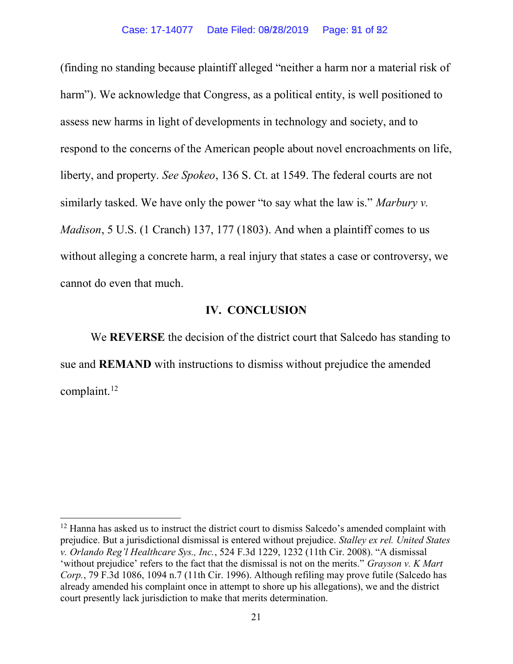(finding no standing because plaintiff alleged "neither a harm nor a material risk of harm"). We acknowledge that Congress, as a political entity, is well positioned to assess new harms in light of developments in technology and society, and to respond to the concerns of the American people about novel encroachments on life, liberty, and property. See Spokeo, 136 S. Ct. at 1549. The federal courts are not similarly tasked. We have only the power "to say what the law is." Marbury v. Madison, 5 U.S. (1 Cranch) 137, 177 (1803). And when a plaintiff comes to us without alleging a concrete harm, a real injury that states a case or controversy, we cannot do even that much.

### IV. CONCLUSION

We **REVERSE** the decision of the district court that Salcedo has standing to sue and REMAND with instructions to dismiss without prejudice the amended complaint.<sup>12</sup>

 $12$  Hanna has asked us to instruct the district court to dismiss Salcedo's amended complaint with prejudice. But a jurisdictional dismissal is entered without prejudice. Stalley ex rel. United States v. Orlando Reg'l Healthcare Sys., Inc., 524 F.3d 1229, 1232 (11th Cir. 2008). "A dismissal 'without prejudice' refers to the fact that the dismissal is not on the merits." Grayson v. K Mart Corp., 79 F.3d 1086, 1094 n.7 (11th Cir. 1996). Although refiling may prove futile (Salcedo has already amended his complaint once in attempt to shore up his allegations), we and the district court presently lack jurisdiction to make that merits determination.